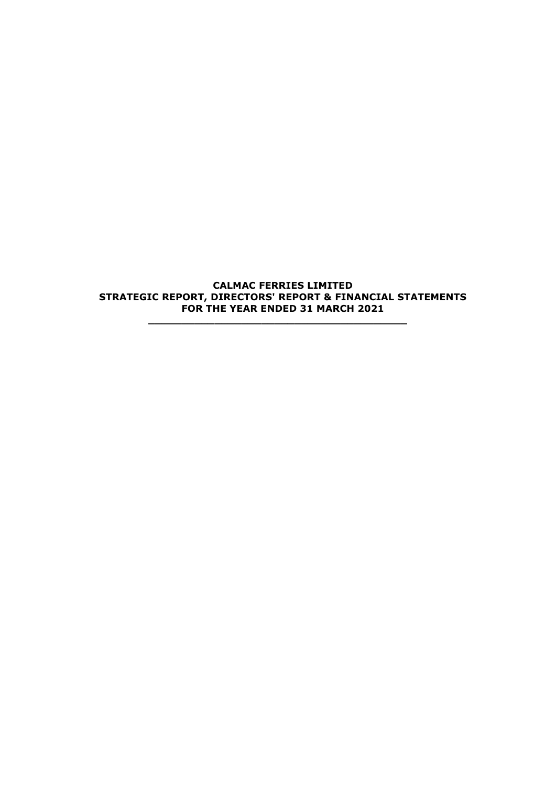**CALMAC FERRIES LIMITED STRATEGIC REPORT, DIRECTORS' REPORT & FINANCIAL STATEMENTS FOR THE YEAR ENDED 31 MARCH 2021**

**\_\_\_\_\_\_\_\_\_\_\_\_\_\_\_\_\_\_\_\_\_\_\_\_\_\_\_\_\_\_\_\_\_\_\_\_\_\_\_**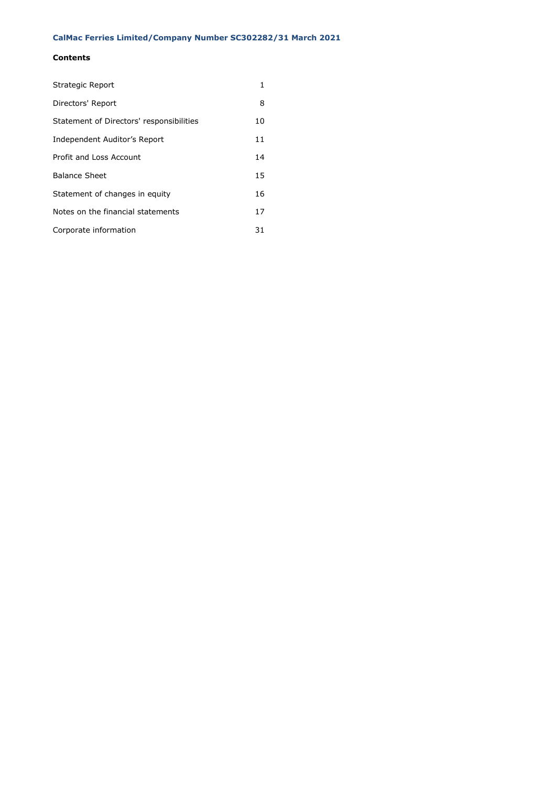# **Contents**

| Strategic Report                         | 1  |
|------------------------------------------|----|
| Directors' Report                        | 8  |
| Statement of Directors' responsibilities | 10 |
| Independent Auditor's Report             | 11 |
| Profit and Loss Account                  | 14 |
| <b>Balance Sheet</b>                     | 15 |
| Statement of changes in equity           | 16 |
| Notes on the financial statements        | 17 |
| Corporate information                    | 31 |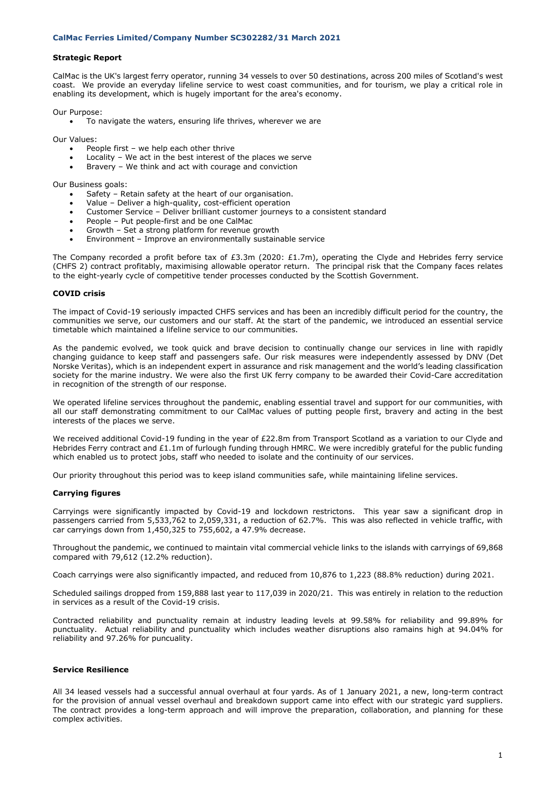## **Strategic Report**

CalMac is the UK's largest ferry operator, running 34 vessels to over 50 destinations, across 200 miles of Scotland's west coast. We provide an everyday lifeline service to west coast communities, and for tourism, we play a critical role in enabling its development, which is hugely important for the area's economy.

Our Purpose:

• To navigate the waters, ensuring life thrives, wherever we are

Our Values:

- People first we help each other thrive
- Locality We act in the best interest of the places we serve
- Bravery We think and act with courage and conviction

Our Business goals:

- Safety Retain safety at the heart of our organisation.
- Value Deliver a high-quality, cost-efficient operation
- Customer Service Deliver brilliant customer journeys to a consistent standard
- People Put people-first and be one CalMac
- Growth Set a strong platform for revenue growth
- Environment Improve an environmentally sustainable service

The Company recorded a profit before tax of £3.3m (2020: £1.7m), operating the Clyde and Hebrides ferry service (CHFS 2) contract profitably, maximising allowable operator return. The principal risk that the Company faces relates to the eight-yearly cycle of competitive tender processes conducted by the Scottish Government.

#### **COVID crisis**

The impact of Covid-19 seriously impacted CHFS services and has been an incredibly difficult period for the country, the communities we serve, our customers and our staff. At the start of the pandemic, we introduced an essential service timetable which maintained a lifeline service to our communities.

As the pandemic evolved, we took quick and brave decision to continually change our services in line with rapidly changing guidance to keep staff and passengers safe. Our risk measures were independently assessed by DNV (Det Norske Veritas), which is an independent expert in assurance and risk management and the world's leading classification society for the marine industry. We were also the first UK ferry company to be awarded their Covid-Care accreditation in recognition of the strength of our response.

We operated lifeline services throughout the pandemic, enabling essential travel and support for our communities, with all our staff demonstrating commitment to our CalMac values of putting people first, bravery and acting in the best interests of the places we serve.

We received additional Covid-19 funding in the year of £22.8m from Transport Scotland as a variation to our Clyde and Hebrides Ferry contract and £1.1m of furlough funding through HMRC. We were incredibly grateful for the public funding which enabled us to protect jobs, staff who needed to isolate and the continuity of our services.

Our priority throughout this period was to keep island communities safe, while maintaining lifeline services.

#### **Carrying figures**

Carryings were significantly impacted by Covid-19 and lockdown restrictons. This year saw a significant drop in passengers carried from 5,533,762 to 2,059,331, a reduction of 62.7%. This was also reflected in vehicle traffic, with car carryings down from 1,450,325 to 755,602, a 47.9% decrease.

Throughout the pandemic, we continued to maintain vital commercial vehicle links to the islands with carryings of 69,868 compared with 79,612 (12.2% reduction).

Coach carryings were also significantly impacted, and reduced from 10,876 to 1,223 (88.8% reduction) during 2021.

Scheduled sailings dropped from 159,888 last year to 117,039 in 2020/21. This was entirely in relation to the reduction in services as a result of the Covid-19 crisis.

Contracted reliability and punctuality remain at industry leading levels at 99.58% for reliability and 99.89% for punctuality. Actual reliability and punctuality which includes weather disruptions also ramains high at 94.04% for reliability and 97.26% for puncuality.

# **Service Resilience**

All 34 leased vessels had a successful annual overhaul at four yards. As of 1 January 2021, a new, long-term contract for the provision of annual vessel overhaul and breakdown support came into effect with our strategic yard suppliers. The contract provides a long-term approach and will improve the preparation, collaboration, and planning for these complex activities.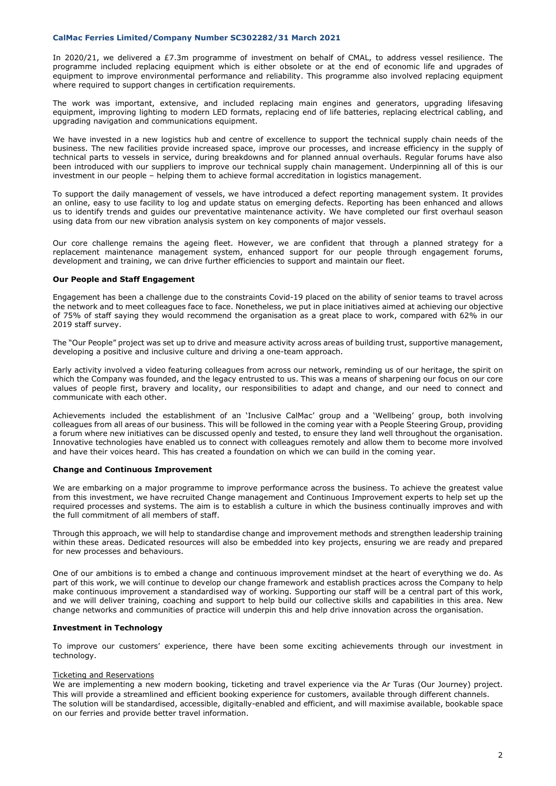In 2020/21, we delivered a £7.3m programme of investment on behalf of CMAL, to address vessel resilience. The programme included replacing equipment which is either obsolete or at the end of economic life and upgrades of equipment to improve environmental performance and reliability. This programme also involved replacing equipment where required to support changes in certification requirements.

The work was important, extensive, and included replacing main engines and generators, upgrading lifesaving equipment, improving lighting to modern LED formats, replacing end of life batteries, replacing electrical cabling, and upgrading navigation and communications equipment.

We have invested in a new logistics hub and centre of excellence to support the technical supply chain needs of the business. The new facilities provide increased space, improve our processes, and increase efficiency in the supply of technical parts to vessels in service, during breakdowns and for planned annual overhauls. Regular forums have also been introduced with our suppliers to improve our technical supply chain management. Underpinning all of this is our investment in our people – helping them to achieve formal accreditation in logistics management.

To support the daily management of vessels, we have introduced a defect reporting management system. It provides an online, easy to use facility to log and update status on emerging defects. Reporting has been enhanced and allows us to identify trends and guides our preventative maintenance activity. We have completed our first overhaul season using data from our new vibration analysis system on key components of major vessels.

Our core challenge remains the ageing fleet. However, we are confident that through a planned strategy for a replacement maintenance management system, enhanced support for our people through engagement forums, development and training, we can drive further efficiencies to support and maintain our fleet.

# **Our People and Staff Engagement**

Engagement has been a challenge due to the constraints Covid-19 placed on the ability of senior teams to travel across the network and to meet colleagues face to face. Nonetheless, we put in place initiatives aimed at achieving our objective of 75% of staff saying they would recommend the organisation as a great place to work, compared with 62% in our 2019 staff survey.

The "Our People" project was set up to drive and measure activity across areas of building trust, supportive management, developing a positive and inclusive culture and driving a one-team approach.

Early activity involved a video featuring colleagues from across our network, reminding us of our heritage, the spirit on which the Company was founded, and the legacy entrusted to us. This was a means of sharpening our focus on our core values of people first, bravery and locality, our responsibilities to adapt and change, and our need to connect and communicate with each other.

Achievements included the establishment of an 'Inclusive CalMac' group and a 'Wellbeing' group, both involving colleagues from all areas of our business. This will be followed in the coming year with a People Steering Group, providing a forum where new initiatives can be discussed openly and tested, to ensure they land well throughout the organisation. Innovative technologies have enabled us to connect with colleagues remotely and allow them to become more involved and have their voices heard. This has created a foundation on which we can build in the coming year.

#### **Change and Continuous Improvement**

We are embarking on a major programme to improve performance across the business. To achieve the greatest value from this investment, we have recruited Change management and Continuous Improvement experts to help set up the required processes and systems. The aim is to establish a culture in which the business continually improves and with the full commitment of all members of staff.

Through this approach, we will help to standardise change and improvement methods and strengthen leadership training within these areas. Dedicated resources will also be embedded into key projects, ensuring we are ready and prepared for new processes and behaviours.

One of our ambitions is to embed a change and continuous improvement mindset at the heart of everything we do. As part of this work, we will continue to develop our change framework and establish practices across the Company to help make continuous improvement a standardised way of working. Supporting our staff will be a central part of this work, and we will deliver training, coaching and support to help build our collective skills and capabilities in this area. New change networks and communities of practice will underpin this and help drive innovation across the organisation.

#### **Investment in Technology**

To improve our customers' experience, there have been some exciting achievements through our investment in technology.

## Ticketing and Reservations

We are implementing a new modern booking, ticketing and travel experience via the Ar Turas (Our Journey) project. This will provide a streamlined and efficient booking experience for customers, available through different channels. The solution will be standardised, accessible, digitally-enabled and efficient, and will maximise available, bookable space on our ferries and provide better travel information.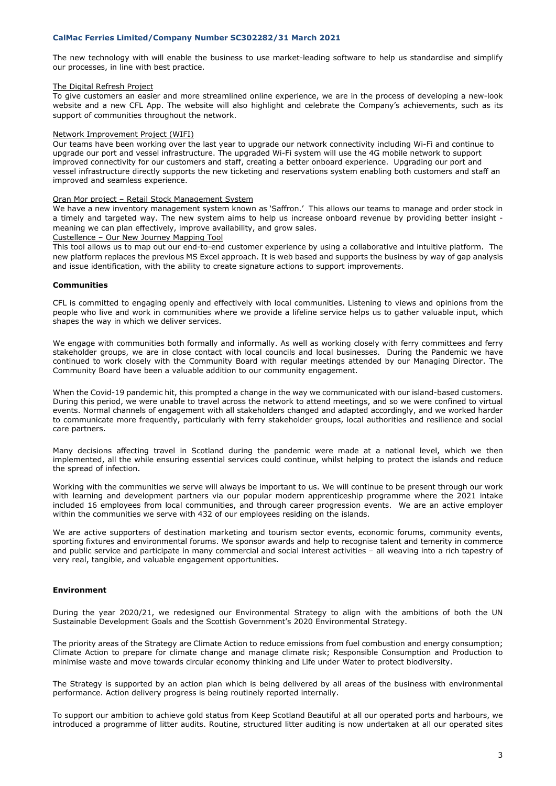The new technology with will enable the business to use market-leading software to help us standardise and simplify our processes, in line with best practice.

#### The Digital Refresh Project

To give customers an easier and more streamlined online experience, we are in the process of developing a new-look website and a new CFL App. The website will also highlight and celebrate the Company's achievements, such as its support of communities throughout the network.

### Network Improvement Project (WIFI)

Our teams have been working over the last year to upgrade our network connectivity including Wi-Fi and continue to upgrade our port and vessel infrastructure. The upgraded Wi-Fi system will use the 4G mobile network to support improved connectivity for our customers and staff, creating a better onboard experience. Upgrading our port and vessel infrastructure directly supports the new ticketing and reservations system enabling both customers and staff an improved and seamless experience.

### Oran Mor project – Retail Stock Management System

We have a new inventory management system known as 'Saffron.' This allows our teams to manage and order stock in a timely and targeted way. The new system aims to help us increase onboard revenue by providing better insight meaning we can plan effectively, improve availability, and grow sales.

# Custellence – Our New Journey Mapping Tool

This tool allows us to map out our end-to-end customer experience by using a collaborative and intuitive platform. The new platform replaces the previous MS Excel approach. It is web based and supports the business by way of gap analysis and issue identification, with the ability to create signature actions to support improvements.

#### **Communities**

CFL is committed to engaging openly and effectively with local communities. Listening to views and opinions from the people who live and work in communities where we provide a lifeline service helps us to gather valuable input, which shapes the way in which we deliver services.

We engage with communities both formally and informally. As well as working closely with ferry committees and ferry stakeholder groups, we are in close contact with local councils and local businesses. During the Pandemic we have continued to work closely with the Community Board with regular meetings attended by our Managing Director. The Community Board have been a valuable addition to our community engagement.

When the Covid-19 pandemic hit, this prompted a change in the way we communicated with our island-based customers. During this period, we were unable to travel across the network to attend meetings, and so we were confined to virtual events. Normal channels of engagement with all stakeholders changed and adapted accordingly, and we worked harder to communicate more frequently, particularly with ferry stakeholder groups, local authorities and resilience and social care partners.

Many decisions affecting travel in Scotland during the pandemic were made at a national level, which we then implemented, all the while ensuring essential services could continue, whilst helping to protect the islands and reduce the spread of infection.

Working with the communities we serve will always be important to us. We will continue to be present through our work with learning and development partners via our popular modern apprenticeship programme where the 2021 intake included 16 employees from local communities, and through career progression events. We are an active employer within the communities we serve with 432 of our employees residing on the islands.

We are active supporters of destination marketing and tourism sector events, economic forums, community events, sporting fixtures and environmental forums. We sponsor awards and help to recognise talent and temerity in commerce and public service and participate in many commercial and social interest activities – all weaving into a rich tapestry of very real, tangible, and valuable engagement opportunities.

### **Environment**

During the year 2020/21, we redesigned our Environmental Strategy to align with the ambitions of both the UN Sustainable Development Goals and the Scottish Government's 2020 Environmental Strategy.

The priority areas of the Strategy are Climate Action to reduce emissions from fuel combustion and energy consumption; Climate Action to prepare for climate change and manage climate risk; Responsible Consumption and Production to minimise waste and move towards circular economy thinking and Life under Water to protect biodiversity.

The Strategy is supported by an action plan which is being delivered by all areas of the business with environmental performance. Action delivery progress is being routinely reported internally.

To support our ambition to achieve gold status from Keep Scotland Beautiful at all our operated ports and harbours, we introduced a programme of litter audits. Routine, structured litter auditing is now undertaken at all our operated sites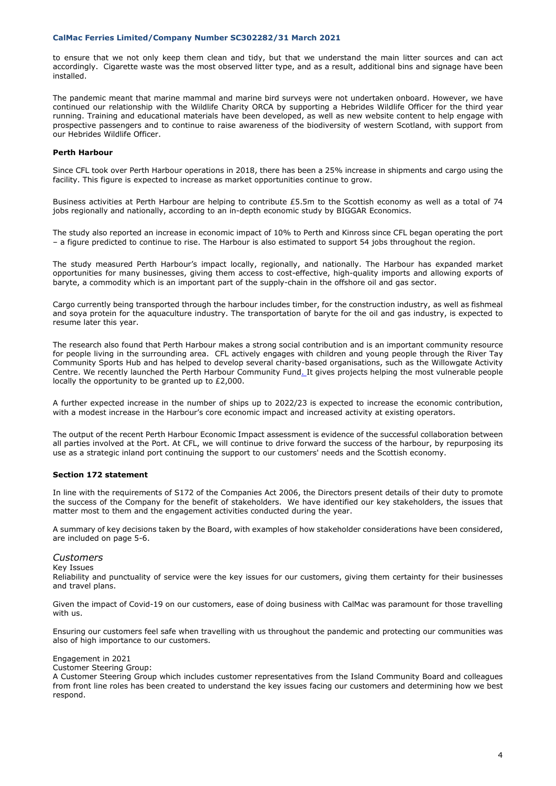to ensure that we not only keep them clean and tidy, but that we understand the main litter sources and can act accordingly. Cigarette waste was the most observed litter type, and as a result, additional bins and signage have been installed.

The pandemic meant that marine mammal and marine bird surveys were not undertaken onboard. However, we have continued our relationship with the Wildlife Charity ORCA by supporting a Hebrides Wildlife Officer for the third year running. Training and educational materials have been developed, as well as new website content to help engage with prospective passengers and to continue to raise awareness of the biodiversity of western Scotland, with support from our Hebrides Wildlife Officer.

# **Perth Harbour**

Since CFL took over Perth Harbour operations in 2018, there has been a 25% increase in shipments and cargo using the facility. This figure is expected to increase as market opportunities continue to grow.

Business activities at Perth Harbour are helping to contribute £5.5m to the Scottish economy as well as a total of 74 jobs regionally and nationally, according to an in-depth economic study by BIGGAR Economics.

The study also reported an increase in economic impact of 10% to Perth and Kinross since CFL began operating the port – a figure predicted to continue to rise. The Harbour is also estimated to support 54 jobs throughout the region.

The study measured Perth Harbour's impact locally, regionally, and nationally. The Harbour has expanded market opportunities for many businesses, giving them access to cost-effective, high-quality imports and allowing exports of baryte, a commodity which is an important part of the supply-chain in the offshore oil and gas sector.

Cargo currently being transported through the harbour includes timber, for the construction industry, as well as fishmeal and soya protein for the aquaculture industry. The transportation of baryte for the oil and gas industry, is expected to resume later this year.

The research also found that Perth Harbour makes a strong social contribution and is an important community resource for people living in the surrounding area. CFL actively engages with children and young people through the River Tay Community Sports Hub and has helped to develop several charity-based organisations, such as the Willowgate Activity Centre. We recently launched the [Perth Harbour Community Fund.](https://perthharbour.co.uk/perth-harbour-community-fund/) It gives projects helping the most vulnerable people locally the opportunity to be granted up to £2,000.

A further expected increase in the number of ships up to 2022/23 is expected to increase the economic contribution, with a modest increase in the Harbour's core economic impact and increased activity at existing operators.

The output of the recent Perth Harbour Economic Impact assessment is evidence of the successful collaboration between all parties involved at the Port. At CFL, we will continue to drive forward the success of the harbour, by repurposing its use as a strategic inland port continuing the support to our customers' needs and the Scottish economy.

### **Section 172 statement**

In line with the requirements of S172 of the Companies Act 2006, the Directors present details of their duty to promote the success of the Company for the benefit of stakeholders. We have identified our key stakeholders, the issues that matter most to them and the engagement activities conducted during the year.

A summary of key decisions taken by the Board, with examples of how stakeholder considerations have been considered, are included on page 5-6.

# *Customers*

Key Issues

Reliability and punctuality of service were the key issues for our customers, giving them certainty for their businesses and travel plans.

Given the impact of Covid-19 on our customers, ease of doing business with CalMac was paramount for those travelling with us.

Ensuring our customers feel safe when travelling with us throughout the pandemic and protecting our communities was also of high importance to our customers.

Engagement in 2021

Customer Steering Group:

A Customer Steering Group which includes customer representatives from the Island Community Board and colleagues from front line roles has been created to understand the key issues facing our customers and determining how we best respond.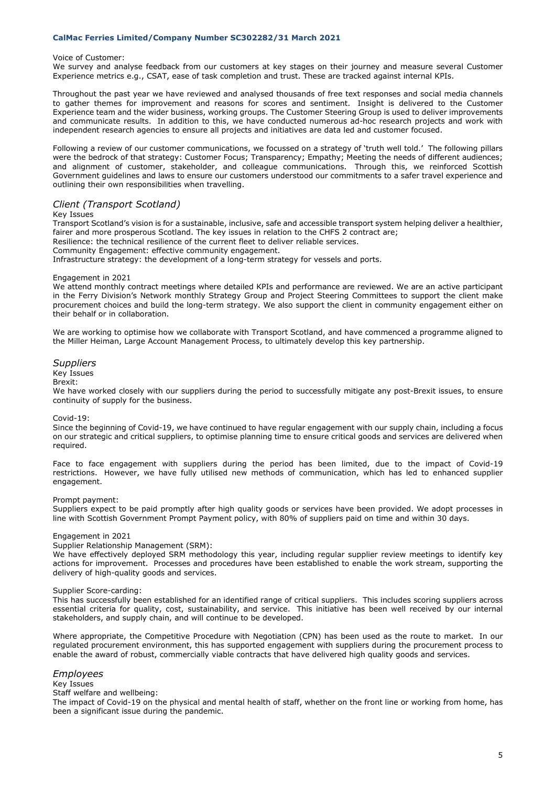#### Voice of Customer:

We survey and analyse feedback from our customers at key stages on their journey and measure several Customer Experience metrics e.g., CSAT, ease of task completion and trust. These are tracked against internal KPIs.

Throughout the past year we have reviewed and analysed thousands of free text responses and social media channels to gather themes for improvement and reasons for scores and sentiment. Insight is delivered to the Customer Experience team and the wider business, working groups. The Customer Steering Group is used to deliver improvements and communicate results. In addition to this, we have conducted numerous ad-hoc research projects and work with independent research agencies to ensure all projects and initiatives are data led and customer focused.

Following a review of our customer communications, we focussed on a strategy of 'truth well told.' The following pillars were the bedrock of that strategy: Customer Focus; Transparency; Empathy; Meeting the needs of different audiences; and alignment of customer, stakeholder, and colleague communications. Through this, we reinforced Scottish Government guidelines and laws to ensure our customers understood our commitments to a safer travel experience and outlining their own responsibilities when travelling.

# *Client (Transport Scotland)*

#### Key Issues

Transport Scotland's vision is for a sustainable, inclusive, safe and accessible transport system helping deliver a healthier, fairer and more prosperous Scotland. The key issues in relation to the CHFS 2 contract are;

Resilience: the technical resilience of the current fleet to deliver reliable services.

Community Engagement: effective community engagement.

Infrastructure strategy: the development of a long-term strategy for vessels and ports.

#### Engagement in 2021

We attend monthly contract meetings where detailed KPIs and performance are reviewed. We are an active participant in the Ferry Division's Network monthly Strategy Group and Project Steering Committees to support the client make procurement choices and build the long-term strategy. We also support the client in community engagement either on their behalf or in collaboration.

We are working to optimise how we collaborate with Transport Scotland, and have commenced a programme aligned to the Miller Heiman, Large Account Management Process, to ultimately develop this key partnership.

# *Suppliers*

# Key Issues

# Brexit:

We have worked closely with our suppliers during the period to successfully mitigate any post-Brexit issues, to ensure continuity of supply for the business.

#### Covid-19:

Since the beginning of Covid-19, we have continued to have regular engagement with our supply chain, including a focus on our strategic and critical suppliers, to optimise planning time to ensure critical goods and services are delivered when required.

Face to face engagement with suppliers during the period has been limited, due to the impact of Covid-19 restrictions. However, we have fully utilised new methods of communication, which has led to enhanced supplier engagement.

#### Prompt payment:

Suppliers expect to be paid promptly after high quality goods or services have been provided. We adopt processes in line with Scottish Government Prompt Payment policy, with 80% of suppliers paid on time and within 30 days.

#### Engagement in 2021

#### Supplier Relationship Management (SRM):

We have effectively deployed SRM methodology this year, including regular supplier review meetings to identify key actions for improvement. Processes and procedures have been established to enable the work stream, supporting the delivery of high-quality goods and services.

#### Supplier Score-carding:

This has successfully been established for an identified range of critical suppliers. This includes scoring suppliers across essential criteria for quality, cost, sustainability, and service. This initiative has been well received by our internal stakeholders, and supply chain, and will continue to be developed.

Where appropriate, the Competitive Procedure with Negotiation (CPN) has been used as the route to market. In our regulated procurement environment, this has supported engagement with suppliers during the procurement process to enable the award of robust, commercially viable contracts that have delivered high quality goods and services.

# *Employees*

#### Key Issues

#### Staff welfare and wellbeing:

The impact of Covid-19 on the physical and mental health of staff, whether on the front line or working from home, has been a significant issue during the pandemic.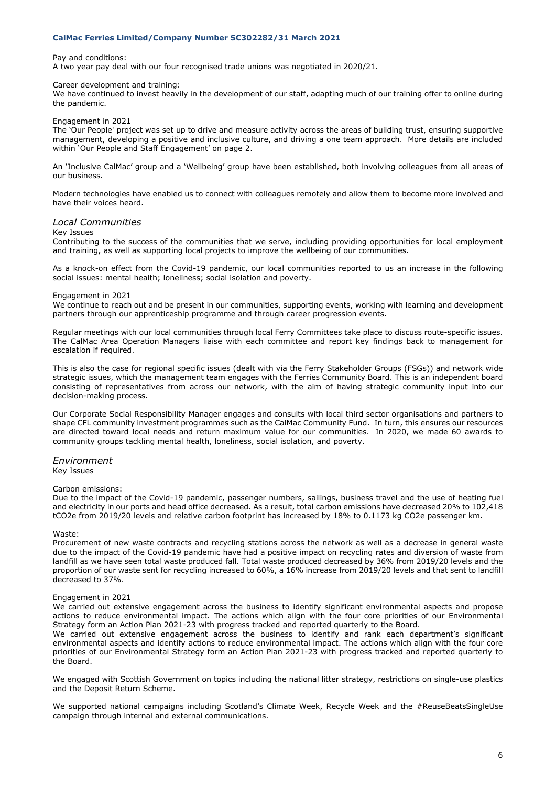Pay and conditions:

A two year pay deal with our four recognised trade unions was negotiated in 2020/21.

#### Career development and training:

We have continued to invest heavily in the development of our staff, adapting much of our training offer to online during the pandemic.

### Engagement in 2021

The 'Our People' project was set up to drive and measure activity across the areas of building trust, ensuring supportive management, developing a positive and inclusive culture, and driving a one team approach. More details are included within 'Our People and Staff Engagement' on page 2.

An 'Inclusive CalMac' group and a 'Wellbeing' group have been established, both involving colleagues from all areas of our business.

Modern technologies have enabled us to connect with colleagues remotely and allow them to become more involved and have their voices heard.

# *Local Communities*

#### Key Issues

Contributing to the success of the communities that we serve, including providing opportunities for local employment and training, as well as supporting local projects to improve the wellbeing of our communities.

As a knock-on effect from the Covid-19 pandemic, our local communities reported to us an increase in the following social issues: mental health; loneliness; social isolation and poverty.

#### Engagement in 2021

We continue to reach out and be present in our communities, supporting events, working with learning and development partners through our apprenticeship programme and through career progression events.

Regular meetings with our local communities through local Ferry Committees take place to discuss route-specific issues. The CalMac Area Operation Managers liaise with each committee and report key findings back to management for escalation if required.

This is also the case for regional specific issues (dealt with via the Ferry Stakeholder Groups (FSGs)) and network wide strategic issues, which the management team engages with the Ferries Community Board. This is an independent board consisting of representatives from across our network, with the aim of having strategic community input into our decision-making process.

Our Corporate Social Responsibility Manager engages and consults with local third sector organisations and partners to shape CFL community investment programmes such as the CalMac Community Fund. In turn, this ensures our resources are directed toward local needs and return maximum value for our communities. In 2020, we made 60 awards to community groups tackling mental health, loneliness, social isolation, and poverty.

#### *Environment* Key Issues

#### Carbon emissions:

Due to the impact of the Covid-19 pandemic, passenger numbers, sailings, business travel and the use of heating fuel and electricity in our ports and head office decreased. As a result, total carbon emissions have decreased 20% to 102,418 tCO2e from 2019/20 levels and relative carbon footprint has increased by 18% to 0.1173 kg CO2e passenger km.

#### Waste:

Procurement of new waste contracts and recycling stations across the network as well as a decrease in general waste due to the impact of the Covid-19 pandemic have had a positive impact on recycling rates and diversion of waste from landfill as we have seen total waste produced fall. Total waste produced decreased by 36% from 2019/20 levels and the proportion of our waste sent for recycling increased to 60%, a 16% increase from 2019/20 levels and that sent to landfill decreased to 37%.

#### Engagement in 2021

We carried out extensive engagement across the business to identify significant environmental aspects and propose actions to reduce environmental impact. The actions which align with the four core priorities of our Environmental Strategy form an Action Plan 2021-23 with progress tracked and reported quarterly to the Board.

We carried out extensive engagement across the business to identify and rank each department's significant environmental aspects and identify actions to reduce environmental impact. The actions which align with the four core priorities of our Environmental Strategy form an Action Plan 2021-23 with progress tracked and reported quarterly to the Board.

We engaged with Scottish Government on topics including the national litter strategy, restrictions on single-use plastics and the Deposit Return Scheme.

We supported national campaigns including Scotland's Climate Week, Recycle Week and the #ReuseBeatsSingleUse campaign through internal and external communications.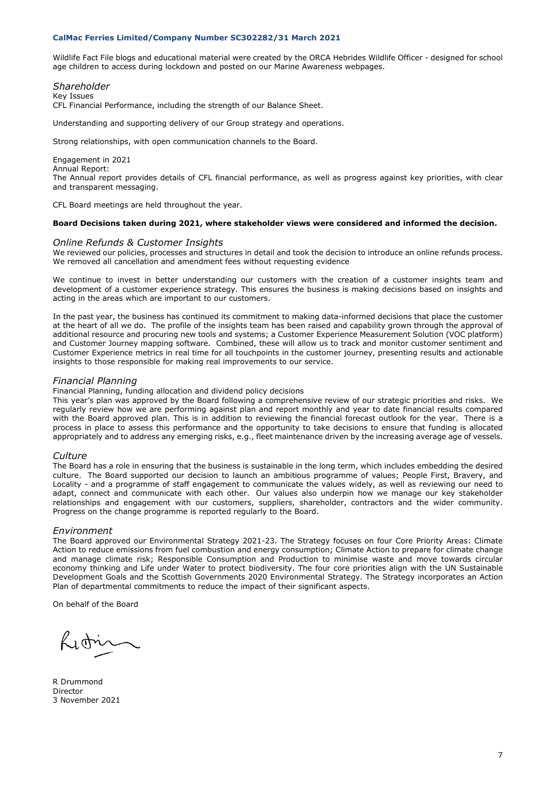Wildlife Fact File blogs and educational material were created by the ORCA Hebrides Wildlife Officer - designed for school age children to access during lockdown and posted on our Marine Awareness webpages.

# *Shareholder*

Key Issues

CFL Financial Performance, including the strength of our Balance Sheet.

Understanding and supporting delivery of our Group strategy and operations.

Strong relationships, with open communication channels to the Board.

# Engagement in 2021

Annual Report: The Annual report provides details of CFL financial performance, as well as progress against key priorities, with clear and transparent messaging.

CFL Board meetings are held throughout the year.

### **Board Decisions taken during 2021, where stakeholder views were considered and informed the decision.**

#### *Online Refunds & Customer Insights*

We reviewed our policies, processes and structures in detail and took the decision to introduce an online refunds process. We removed all cancellation and amendment fees without requesting evidence

We continue to invest in better understanding our customers with the creation of a customer insights team and development of a customer experience strategy. This ensures the business is making decisions based on insights and acting in the areas which are important to our customers.

In the past year, the business has continued its commitment to making data-informed decisions that place the customer at the heart of all we do. The profile of the insights team has been raised and capability grown through the approval of additional resource and procuring new tools and systems; a Customer Experience Measurement Solution (VOC platform) and Customer Journey mapping software. Combined, these will allow us to track and monitor customer sentiment and Customer Experience metrics in real time for all touchpoints in the customer journey, presenting results and actionable insights to those responsible for making real improvements to our service.

# *Financial Planning*

Financial Planning, funding allocation and dividend policy decisions

This year's plan was approved by the Board following a comprehensive review of our strategic priorities and risks. We regularly review how we are performing against plan and report monthly and year to date financial results compared with the Board approved plan. This is in addition to reviewing the financial forecast outlook for the year. There is a process in place to assess this performance and the opportunity to take decisions to ensure that funding is allocated appropriately and to address any emerging risks, e.g., fleet maintenance driven by the increasing average age of vessels.

# *Culture*

The Board has a role in ensuring that the business is sustainable in the long term, which includes embedding the desired culture. The Board supported our decision to launch an ambitious programme of values; People First, Bravery, and Locality - and a programme of staff engagement to communicate the values widely, as well as reviewing our need to adapt, connect and communicate with each other. Our values also underpin how we manage our key stakeholder relationships and engagement with our customers, suppliers, shareholder, contractors and the wider community. Progress on the change programme is reported regularly to the Board.

# *Environment*

The Board approved our Environmental Strategy 2021-23. The Strategy focuses on four Core Priority Areas: Climate Action to reduce emissions from fuel combustion and energy consumption; Climate Action to prepare for climate change and manage climate risk; Responsible Consumption and Production to minimise waste and move towards circular economy thinking and Life under Water to protect biodiversity. The four core priorities align with the UN Sustainable Development Goals and the Scottish Governments 2020 Environmental Strategy. The Strategy incorporates an Action Plan of departmental commitments to reduce the impact of their significant aspects.

On behalf of the Board

Lidrin

R Drummond Director 3 November 2021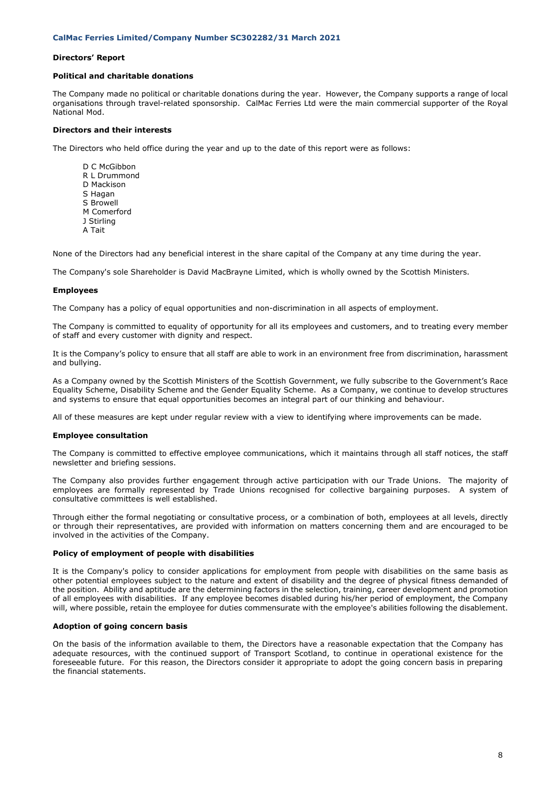# **Directors' Report**

## **Political and charitable donations**

The Company made no political or charitable donations during the year. However, the Company supports a range of local organisations through travel-related sponsorship. CalMac Ferries Ltd were the main commercial supporter of the Royal National Mod.

# **Directors and their interests**

The Directors who held office during the year and up to the date of this report were as follows:

D C McGibbon R L Drummond D Mackison S Hagan S Browell M Comerford J Stirling A Tait

None of the Directors had any beneficial interest in the share capital of the Company at any time during the year.

The Company's sole Shareholder is David MacBrayne Limited, which is wholly owned by the Scottish Ministers.

#### **Employees**

The Company has a policy of equal opportunities and non-discrimination in all aspects of employment.

The Company is committed to equality of opportunity for all its employees and customers, and to treating every member of staff and every customer with dignity and respect.

It is the Company's policy to ensure that all staff are able to work in an environment free from discrimination, harassment and bullying.

As a Company owned by the Scottish Ministers of the Scottish Government, we fully subscribe to the Government's Race Equality Scheme, Disability Scheme and the Gender Equality Scheme. As a Company, we continue to develop structures and systems to ensure that equal opportunities becomes an integral part of our thinking and behaviour.

All of these measures are kept under regular review with a view to identifying where improvements can be made.

#### **Employee consultation**

The Company is committed to effective employee communications, which it maintains through all staff notices, the staff newsletter and briefing sessions.

The Company also provides further engagement through active participation with our Trade Unions. The majority of employees are formally represented by Trade Unions recognised for collective bargaining purposes. A system of consultative committees is well established.

Through either the formal negotiating or consultative process, or a combination of both, employees at all levels, directly or through their representatives, are provided with information on matters concerning them and are encouraged to be involved in the activities of the Company.

#### **Policy of employment of people with disabilities**

It is the Company's policy to consider applications for employment from people with disabilities on the same basis as other potential employees subject to the nature and extent of disability and the degree of physical fitness demanded of the position. Ability and aptitude are the determining factors in the selection, training, career development and promotion of all employees with disabilities. If any employee becomes disabled during his/her period of employment, the Company will, where possible, retain the employee for duties commensurate with the employee's abilities following the disablement.

### **Adoption of going concern basis**

On the basis of the information available to them, the Directors have a reasonable expectation that the Company has adequate resources, with the continued support of Transport Scotland, to continue in operational existence for the foreseeable future. For this reason, the Directors consider it appropriate to adopt the going concern basis in preparing the financial statements.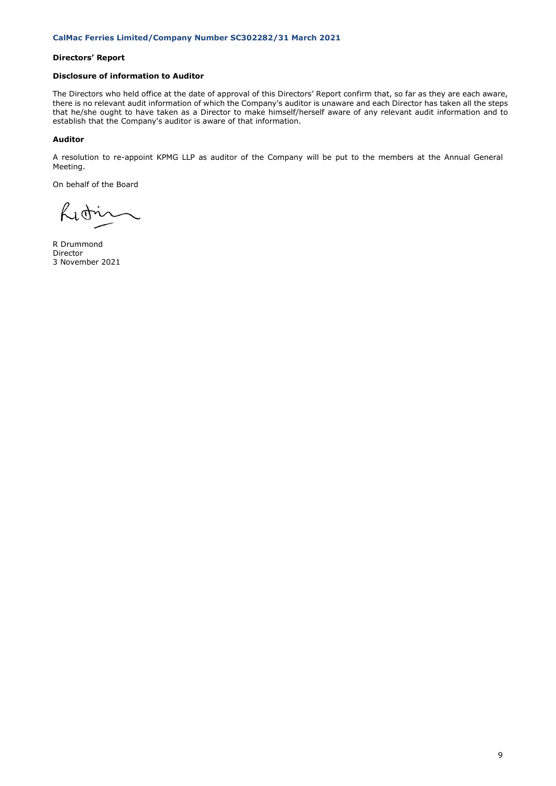# **Directors' Report**

# **Disclosure of information to Auditor**

The Directors who held office at the date of approval of this Directors' Report confirm that, so far as they are each aware, there is no relevant audit information of which the Company's auditor is unaware and each Director has taken all the steps that he/she ought to have taken as a Director to make himself/herself aware of any relevant audit information and to establish that the Company's auditor is aware of that information.

# **Auditor**

A resolution to re-appoint KPMG LLP as auditor of the Company will be put to the members at the Annual General Meeting.

On behalf of the Board

Licti

R Drummond Director 3 November 2021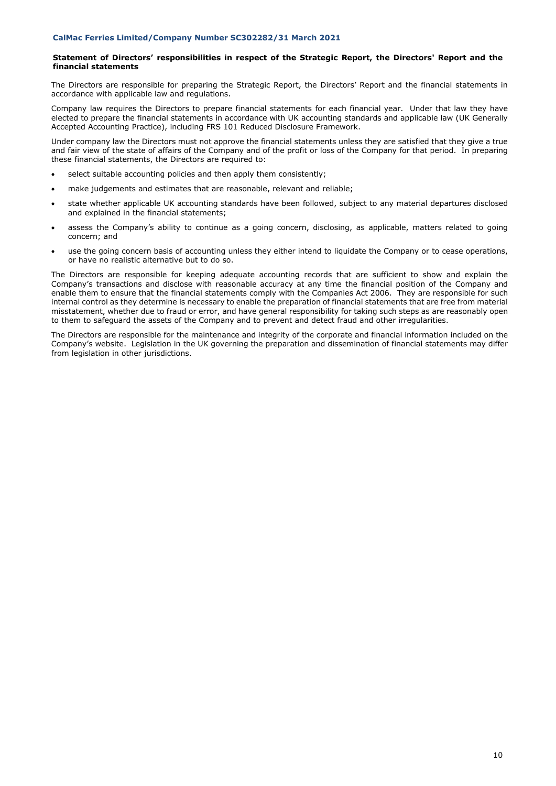# **Statement of Directors' responsibilities in respect of the Strategic Report, the Directors' Report and the financial statements**

The Directors are responsible for preparing the Strategic Report, the Directors' Report and the financial statements in accordance with applicable law and regulations.

Company law requires the Directors to prepare financial statements for each financial year. Under that law they have elected to prepare the financial statements in accordance with UK accounting standards and applicable law (UK Generally Accepted Accounting Practice), including FRS 101 Reduced Disclosure Framework.

Under company law the Directors must not approve the financial statements unless they are satisfied that they give a true and fair view of the state of affairs of the Company and of the profit or loss of the Company for that period. In preparing these financial statements, the Directors are required to:

- select suitable accounting policies and then apply them consistently;
- make judgements and estimates that are reasonable, relevant and reliable;
- state whether applicable UK accounting standards have been followed, subject to any material departures disclosed and explained in the financial statements;
- assess the Company's ability to continue as a going concern, disclosing, as applicable, matters related to going concern; and
- use the going concern basis of accounting unless they either intend to liquidate the Company or to cease operations, or have no realistic alternative but to do so.

The Directors are responsible for keeping adequate accounting records that are sufficient to show and explain the Company's transactions and disclose with reasonable accuracy at any time the financial position of the Company and enable them to ensure that the financial statements comply with the Companies Act 2006. They are responsible for such internal control as they determine is necessary to enable the preparation of financial statements that are free from material misstatement, whether due to fraud or error, and have general responsibility for taking such steps as are reasonably open to them to safeguard the assets of the Company and to prevent and detect fraud and other irregularities.

The Directors are responsible for the maintenance and integrity of the corporate and financial information included on the Company's website. Legislation in the UK governing the preparation and dissemination of financial statements may differ from legislation in other jurisdictions.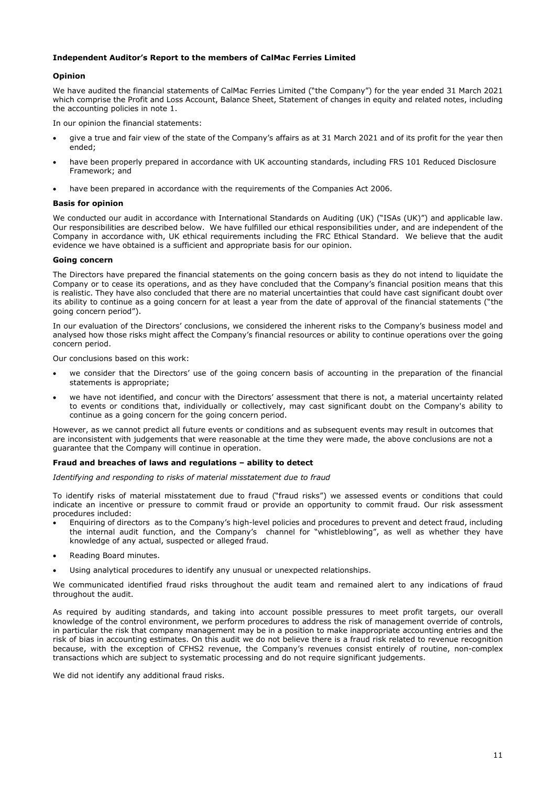# **Independent Auditor's Report to the members of CalMac Ferries Limited**

# **Opinion**

We have audited the financial statements of CalMac Ferries Limited ("the Company") for the year ended 31 March 2021 which comprise the Profit and Loss Account, Balance Sheet, Statement of changes in equity and related notes, including the accounting policies in note 1.

In our opinion the financial statements:

- give a true and fair view of the state of the Company's affairs as at 31 March 2021 and of its profit for the year then ended;
- have been properly prepared in accordance with UK accounting standards, including FRS 101 Reduced Disclosure Framework; and
- have been prepared in accordance with the requirements of the Companies Act 2006.

# **Basis for opinion**

We conducted our audit in accordance with International Standards on Auditing (UK) ("ISAs (UK)") and applicable law. Our responsibilities are described below. We have fulfilled our ethical responsibilities under, and are independent of the Company in accordance with, UK ethical requirements including the FRC Ethical Standard. We believe that the audit evidence we have obtained is a sufficient and appropriate basis for our opinion.

# **Going concern**

The Directors have prepared the financial statements on the going concern basis as they do not intend to liquidate the Company or to cease its operations, and as they have concluded that the Company's financial position means that this is realistic. They have also concluded that there are no material uncertainties that could have cast significant doubt over its ability to continue as a going concern for at least a year from the date of approval of the financial statements ("the going concern period").

In our evaluation of the Directors' conclusions, we considered the inherent risks to the Company's business model and analysed how those risks might affect the Company's financial resources or ability to continue operations over the going concern period.

Our conclusions based on this work:

- we consider that the Directors' use of the going concern basis of accounting in the preparation of the financial statements is appropriate;
- we have not identified, and concur with the Directors' assessment that there is not, a material uncertainty related to events or conditions that, individually or collectively, may cast significant doubt on the Company's ability to continue as a going concern for the going concern period.

However, as we cannot predict all future events or conditions and as subsequent events may result in outcomes that are inconsistent with judgements that were reasonable at the time they were made, the above conclusions are not a guarantee that the Company will continue in operation.

# **Fraud and breaches of laws and regulations – ability to detect**

*Identifying and responding to risks of material misstatement due to fraud*

To identify risks of material misstatement due to fraud ("fraud risks") we assessed events or conditions that could indicate an incentive or pressure to commit fraud or provide an opportunity to commit fraud. Our risk assessment procedures included:

- Enquiring of directors as to the Company's high-level policies and procedures to prevent and detect fraud, including the internal audit function, and the Company's channel for "whistleblowing", as well as whether they have knowledge of any actual, suspected or alleged fraud.
- Reading Board minutes.
- Using analytical procedures to identify any unusual or unexpected relationships.

We communicated identified fraud risks throughout the audit team and remained alert to any indications of fraud throughout the audit.

As required by auditing standards, and taking into account possible pressures to meet profit targets, our overall knowledge of the control environment, we perform procedures to address the risk of management override of controls, in particular the risk that company management may be in a position to make inappropriate accounting entries and the risk of bias in accounting estimates. On this audit we do not believe there is a fraud risk related to revenue recognition because, with the exception of CFHS2 revenue, the Company's revenues consist entirely of routine, non-complex transactions which are subject to systematic processing and do not require significant judgements.

We did not identify any additional fraud risks.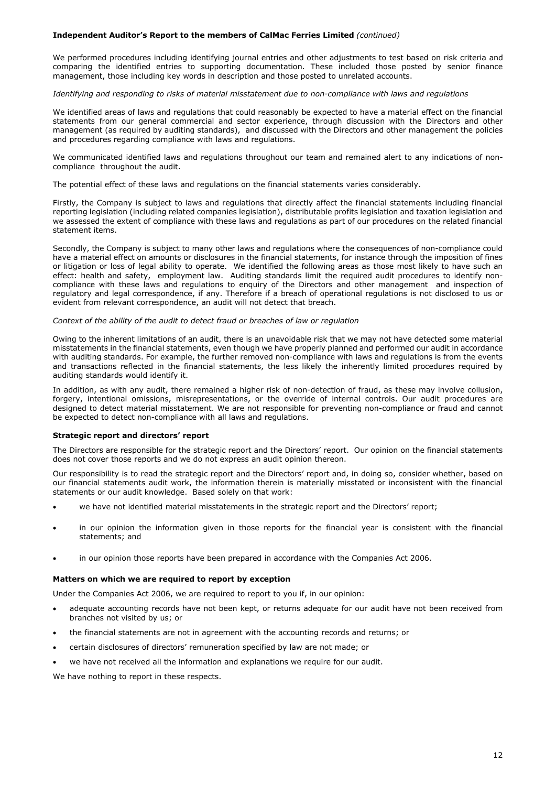# **Independent Auditor's Report to the members of CalMac Ferries Limited** *(continued)*

We performed procedures including identifying journal entries and other adjustments to test based on risk criteria and comparing the identified entries to supporting documentation. These included those posted by senior finance management, those including key words in description and those posted to unrelated accounts.

*Identifying and responding to risks of material misstatement due to non-compliance with laws and regulations*

We identified areas of laws and regulations that could reasonably be expected to have a material effect on the financial statements from our general commercial and sector experience, through discussion with the Directors and other management (as required by auditing standards), and discussed with the Directors and other management the policies and procedures regarding compliance with laws and regulations.

We communicated identified laws and regulations throughout our team and remained alert to any indications of noncompliance throughout the audit.

The potential effect of these laws and regulations on the financial statements varies considerably.

Firstly, the Company is subject to laws and regulations that directly affect the financial statements including financial reporting legislation (including related companies legislation), distributable profits legislation and taxation legislation and we assessed the extent of compliance with these laws and regulations as part of our procedures on the related financial statement items.

Secondly, the Company is subject to many other laws and regulations where the consequences of non-compliance could have a material effect on amounts or disclosures in the financial statements, for instance through the imposition of fines or litigation or loss of legal ability to operate. We identified the following areas as those most likely to have such an effect: health and safety, employment law. Auditing standards limit the required audit procedures to identify noncompliance with these laws and regulations to enquiry of the Directors and other management and inspection of regulatory and legal correspondence, if any. Therefore if a breach of operational regulations is not disclosed to us or evident from relevant correspondence, an audit will not detect that breach.

# *Context of the ability of the audit to detect fraud or breaches of law or regulation*

Owing to the inherent limitations of an audit, there is an unavoidable risk that we may not have detected some material misstatements in the financial statements, even though we have properly planned and performed our audit in accordance with auditing standards. For example, the further removed non-compliance with laws and regulations is from the events and transactions reflected in the financial statements, the less likely the inherently limited procedures required by auditing standards would identify it.

In addition, as with any audit, there remained a higher risk of non-detection of fraud, as these may involve collusion, forgery, intentional omissions, misrepresentations, or the override of internal controls. Our audit procedures are designed to detect material misstatement. We are not responsible for preventing non-compliance or fraud and cannot be expected to detect non-compliance with all laws and regulations.

# **Strategic report and directors' report**

The Directors are responsible for the strategic report and the Directors' report. Our opinion on the financial statements does not cover those reports and we do not express an audit opinion thereon.

Our responsibility is to read the strategic report and the Directors' report and, in doing so, consider whether, based on our financial statements audit work, the information therein is materially misstated or inconsistent with the financial statements or our audit knowledge. Based solely on that work:

- we have not identified material misstatements in the strategic report and the Directors' report;
- in our opinion the information given in those reports for the financial year is consistent with the financial statements; and
- in our opinion those reports have been prepared in accordance with the Companies Act 2006.

## **Matters on which we are required to report by exception**

Under the Companies Act 2006, we are required to report to you if, in our opinion:

- adequate accounting records have not been kept, or returns adequate for our audit have not been received from branches not visited by us; or
- the financial statements are not in agreement with the accounting records and returns; or
- certain disclosures of directors' remuneration specified by law are not made; or
- we have not received all the information and explanations we require for our audit.

We have nothing to report in these respects.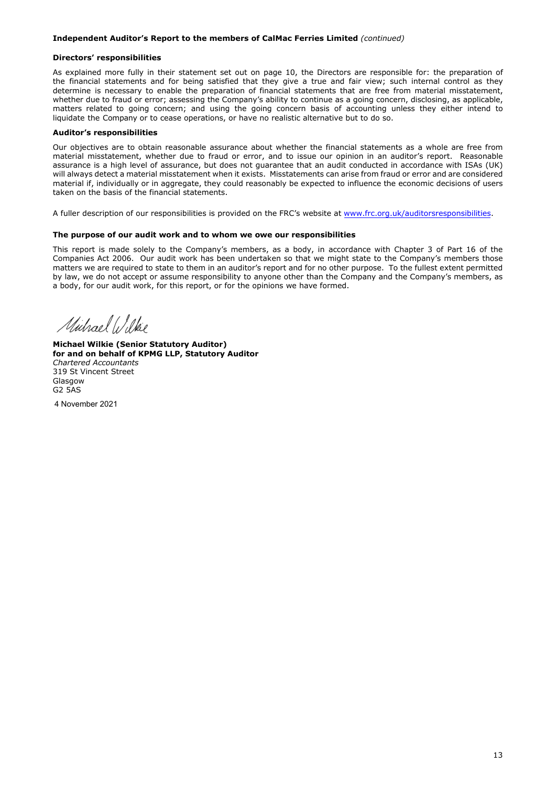# **Independent Auditor's Report to the members of CalMac Ferries Limited** *(continued)*

## **Directors' responsibilities**

As explained more fully in their statement set out on page 10, the Directors are responsible for: the preparation of the financial statements and for being satisfied that they give a true and fair view; such internal control as they determine is necessary to enable the preparation of financial statements that are free from material misstatement, whether due to fraud or error; assessing the Company's ability to continue as a going concern, disclosing, as applicable, matters related to going concern; and using the going concern basis of accounting unless they either intend to liquidate the Company or to cease operations, or have no realistic alternative but to do so.

# **Auditor's responsibilities**

Our objectives are to obtain reasonable assurance about whether the financial statements as a whole are free from material misstatement, whether due to fraud or error, and to issue our opinion in an auditor's report. Reasonable assurance is a high level of assurance, but does not guarantee that an audit conducted in accordance with ISAs (UK) will always detect a material misstatement when it exists. Misstatements can arise from fraud or error and are considered material if, individually or in aggregate, they could reasonably be expected to influence the economic decisions of users taken on the basis of the financial statements.

A fuller description of our responsibilities is provided on the FRC's website at [www.frc.org.uk/auditorsresponsibilities.](http://www.frc.org.uk/auditorsresponsibilities)

# **The purpose of our audit work and to whom we owe our responsibilities**

This report is made solely to the Company's members, as a body, in accordance with Chapter 3 of Part 16 of the Companies Act 2006. Our audit work has been undertaken so that we might state to the Company's members those matters we are required to state to them in an auditor's report and for no other purpose. To the fullest extent permitted by law, we do not accept or assume responsibility to anyone other than the Company and the Company's members, as a body, for our audit work, for this report, or for the opinions we have formed.

Michael Wilkie

**Michael Wilkie (Senior Statutory Auditor) for and on behalf of KPMG LLP, Statutory Auditor**  *Chartered Accountants*  319 St Vincent Street Glasgow G2 5AS

4 November 2021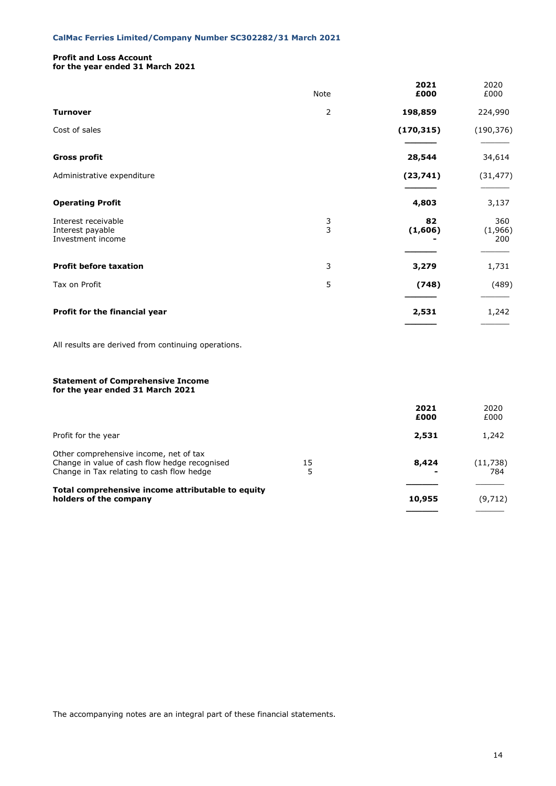# **Profit and Loss Account**

**for the year ended 31 March 2021**

|                                                                                                                                      | Note           | 2021<br>£000  | 2020<br>£000          |
|--------------------------------------------------------------------------------------------------------------------------------------|----------------|---------------|-----------------------|
| <b>Turnover</b>                                                                                                                      | $\overline{2}$ | 198,859       | 224,990               |
| Cost of sales                                                                                                                        |                | (170, 315)    | (190, 376)            |
| <b>Gross profit</b>                                                                                                                  |                | 28,544        | 34,614                |
| Administrative expenditure                                                                                                           |                | (23, 741)     | (31, 477)             |
| <b>Operating Profit</b>                                                                                                              |                | 4,803         | 3,137                 |
| Interest receivable<br>Interest payable<br>Investment income                                                                         | 3<br>3         | 82<br>(1,606) | 360<br>(1,966)<br>200 |
| <b>Profit before taxation</b>                                                                                                        | 3              | 3,279         | 1,731                 |
| Tax on Profit                                                                                                                        | 5              | (748)         | (489)                 |
| Profit for the financial year                                                                                                        |                | 2,531         | 1,242                 |
| All results are derived from continuing operations.                                                                                  |                |               |                       |
| <b>Statement of Comprehensive Income</b><br>for the year ended 31 March 2021                                                         |                |               |                       |
|                                                                                                                                      |                | 2021<br>£000  | 2020<br>£000          |
| Profit for the year                                                                                                                  |                | 2,531         | 1,242                 |
| Other comprehensive income, net of tax<br>Change in value of cash flow hedge recognised<br>Change in Tax relating to cash flow hedge | 15<br>5        | 8,424         | (11, 738)<br>784      |
| Total comprehensive income attributable to equity<br>holders of the company                                                          |                | 10,955        | (9, 712)              |

The accompanying notes are an integral part of these financial statements.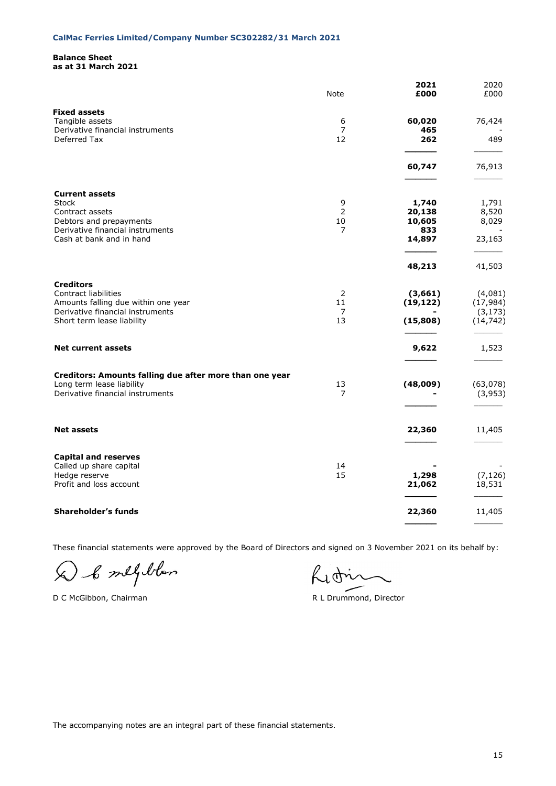# **Balance Sheet as at 31 March 2021**

|                                                                                                                                                     | Note                      | 2021<br>£000                                         | 2020<br>£000                                  |
|-----------------------------------------------------------------------------------------------------------------------------------------------------|---------------------------|------------------------------------------------------|-----------------------------------------------|
| <b>Fixed assets</b><br>Tangible assets<br>Derivative financial instruments<br>Deferred Tax                                                          | 6<br>$\overline{7}$<br>12 | 60,020<br>465<br>262                                 | 76,424<br>489                                 |
|                                                                                                                                                     |                           | 60,747                                               | 76,913                                        |
| <b>Current assets</b><br><b>Stock</b><br>Contract assets<br>Debtors and prepayments<br>Derivative financial instruments<br>Cash at bank and in hand | 9<br>2<br>10<br>7         | 1,740<br>20,138<br>10,605<br>833<br>14,897<br>48,213 | 1,791<br>8,520<br>8,029<br>23,163<br>41,503   |
| <b>Creditors</b><br>Contract liabilities<br>Amounts falling due within one year<br>Derivative financial instruments<br>Short term lease liability   | 2<br>11<br>7<br>13        | (3,661)<br>(19, 122)<br>(15, 808)                    | (4,081)<br>(17, 984)<br>(3, 173)<br>(14, 742) |
| <b>Net current assets</b>                                                                                                                           |                           | 9,622                                                | 1,523                                         |
| Creditors: Amounts falling due after more than one year<br>Long term lease liability<br>Derivative financial instruments                            | 13<br>7                   | (48,009)                                             | (63,078)<br>(3,953)                           |
| <b>Net assets</b>                                                                                                                                   |                           | 22,360                                               | 11,405                                        |
| <b>Capital and reserves</b><br>Called up share capital<br>Hedge reserve<br>Profit and loss account                                                  | 14<br>15                  | 1,298<br>21,062                                      | (7, 126)<br>18,531                            |
| Shareholder's funds                                                                                                                                 |                           | 22,360                                               | 11,405                                        |
|                                                                                                                                                     |                           |                                                      |                                               |

These financial statements were approved by the Board of Directors and signed on 3 November 2021 on its behalf by:

D & melyblan

D C McGibbon, Chairman R L Drummond, Director

Lidin

The accompanying notes are an integral part of these financial statements.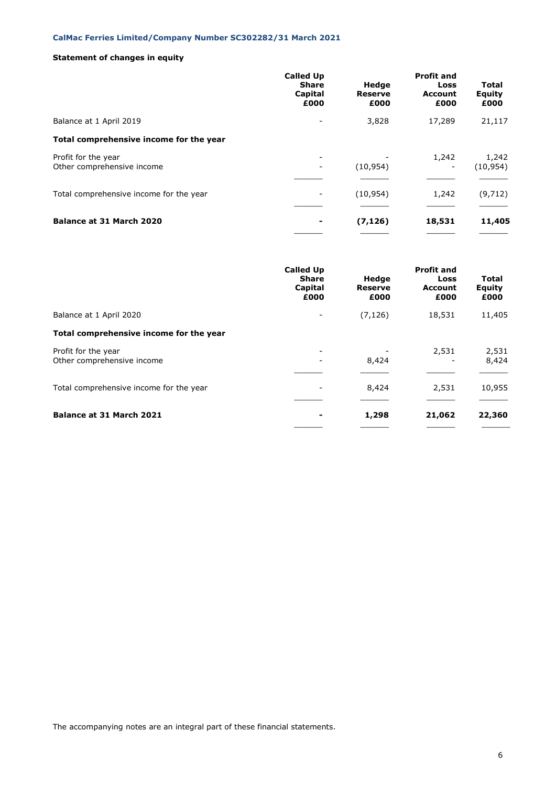# **Statement of changes in equity**

|                                                   | <b>Called Up</b><br><b>Share</b><br>Capital<br>£000 | Hedge<br><b>Reserve</b><br>£000 | <b>Profit and</b><br>Loss<br><b>Account</b><br>£000 | Total<br>Equity<br>£000 |
|---------------------------------------------------|-----------------------------------------------------|---------------------------------|-----------------------------------------------------|-------------------------|
| Balance at 1 April 2019                           |                                                     | 3,828                           | 17,289                                              | 21,117                  |
| Total comprehensive income for the year           |                                                     |                                 |                                                     |                         |
| Profit for the year<br>Other comprehensive income |                                                     | (10, 954)                       | 1,242<br>-                                          | 1,242<br>(10, 954)      |
| Total comprehensive income for the year           |                                                     | (10, 954)                       | 1,242                                               | (9, 712)                |
| <b>Balance at 31 March 2020</b>                   |                                                     | (7, 126)                        | 18,531                                              | 11,405                  |

|                                                   | <b>Called Up</b><br><b>Share</b><br>Capital<br>£000 | Hedge<br>Reserve<br>£000 | <b>Profit and</b><br>Loss<br>Account<br>£000 | <b>Total</b><br>Equity<br>£000 |
|---------------------------------------------------|-----------------------------------------------------|--------------------------|----------------------------------------------|--------------------------------|
| Balance at 1 April 2020                           |                                                     | (7, 126)                 | 18,531                                       | 11,405                         |
| Total comprehensive income for the year           |                                                     |                          |                                              |                                |
| Profit for the year<br>Other comprehensive income |                                                     | 8,424                    | 2,531                                        | 2,531<br>8,424                 |
| Total comprehensive income for the year           |                                                     | 8,424                    | 2,531                                        | 10,955                         |
| Balance at 31 March 2021                          |                                                     | 1,298                    | 21,062                                       | 22,360                         |

The accompanying notes are an integral part of these financial statements.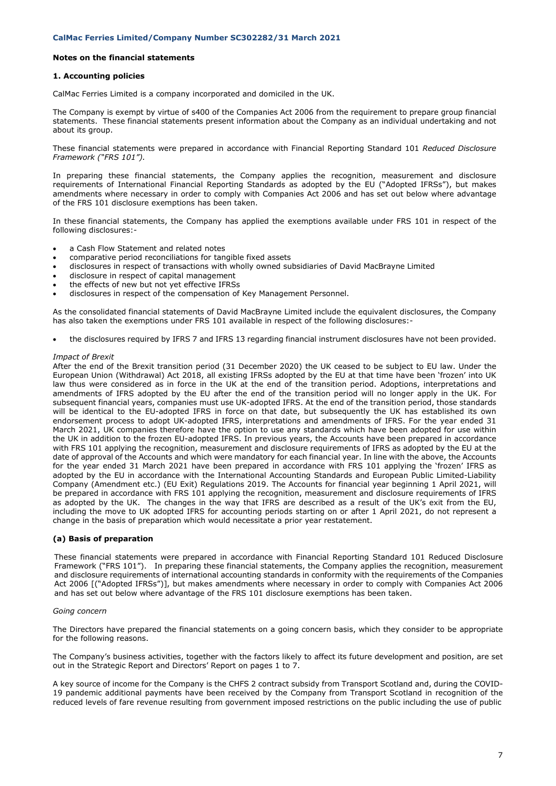## **1. Accounting policies**

CalMac Ferries Limited is a company incorporated and domiciled in the UK.

The Company is exempt by virtue of s400 of the Companies Act 2006 from the requirement to prepare group financial statements. These financial statements present information about the Company as an individual undertaking and not about its group.

These financial statements were prepared in accordance with Financial Reporting Standard 101 *Reduced Disclosure Framework ("FRS 101").*

In preparing these financial statements, the Company applies the recognition, measurement and disclosure requirements of International Financial Reporting Standards as adopted by the EU ("Adopted IFRSs"), but makes amendments where necessary in order to comply with Companies Act 2006 and has set out below where advantage of the FRS 101 disclosure exemptions has been taken.

In these financial statements, the Company has applied the exemptions available under FRS 101 in respect of the following disclosures:-

- a Cash Flow Statement and related notes
- comparative period reconciliations for tangible fixed assets
- disclosures in respect of transactions with wholly owned subsidiaries of David MacBrayne Limited
- disclosure in respect of capital management
- the effects of new but not yet effective IFRSs
- disclosures in respect of the compensation of Key Management Personnel.

As the consolidated financial statements of David MacBrayne Limited include the equivalent disclosures, the Company has also taken the exemptions under FRS 101 available in respect of the following disclosures:-

• the disclosures required by IFRS 7 and IFRS 13 regarding financial instrument disclosures have not been provided.

#### *Impact of Brexit*

After the end of the Brexit transition period (31 December 2020) the UK ceased to be subject to EU law. Under the European Union (Withdrawal) Act 2018, all existing IFRSs adopted by the EU at that time have been 'frozen' into UK law thus were considered as in force in the UK at the end of the transition period. Adoptions, interpretations and amendments of IFRS adopted by the EU after the end of the transition period will no longer apply in the UK. For subsequent financial years, companies must use UK-adopted IFRS. At the end of the transition period, those standards will be identical to the EU-adopted IFRS in force on that date, but subsequently the UK has established its own endorsement process to adopt UK-adopted IFRS, interpretations and amendments of IFRS. For the year ended 31 March 2021, UK companies therefore have the option to use any standards which have been adopted for use within the UK in addition to the frozen EU-adopted IFRS. In previous years, the Accounts have been prepared in accordance with FRS 101 applying the recognition, measurement and disclosure requirements of IFRS as adopted by the EU at the date of approval of the Accounts and which were mandatory for each financial year. In line with the above, the Accounts for the year ended 31 March 2021 have been prepared in accordance with FRS 101 applying the 'frozen' IFRS as adopted by the EU in accordance with the International Accounting Standards and European Public Limited-Liability Company (Amendment etc.) (EU Exit) Regulations 2019. The Accounts for financial year beginning 1 April 2021, will be prepared in accordance with FRS 101 applying the recognition, measurement and disclosure requirements of IFRS as adopted by the UK. The changes in the way that IFRS are described as a result of the UK's exit from the EU, including the move to UK adopted IFRS for accounting periods starting on or after 1 April 2021, do not represent a change in the basis of preparation which would necessitate a prior year restatement.

#### **(a) Basis of preparation**

These financial statements were prepared in accordance with Financial Reporting Standard 101 Reduced Disclosure Framework ("FRS 101"). In preparing these financial statements, the Company applies the recognition, measurement and disclosure requirements of international accounting standards in conformity with the requirements of the Companies Act 2006 [("Adopted IFRSs")], but makes amendments where necessary in order to comply with Companies Act 2006 and has set out below where advantage of the FRS 101 disclosure exemptions has been taken.

# *Going concern*

The Directors have prepared the financial statements on a going concern basis, which they consider to be appropriate for the following reasons.

The Company's business activities, together with the factors likely to affect its future development and position, are set out in the Strategic Report and Directors' Report on pages 1 to 7.

A key source of income for the Company is the CHFS 2 contract subsidy from Transport Scotland and, during the COVID-19 pandemic additional payments have been received by the Company from Transport Scotland in recognition of the reduced levels of fare revenue resulting from government imposed restrictions on the public including the use of public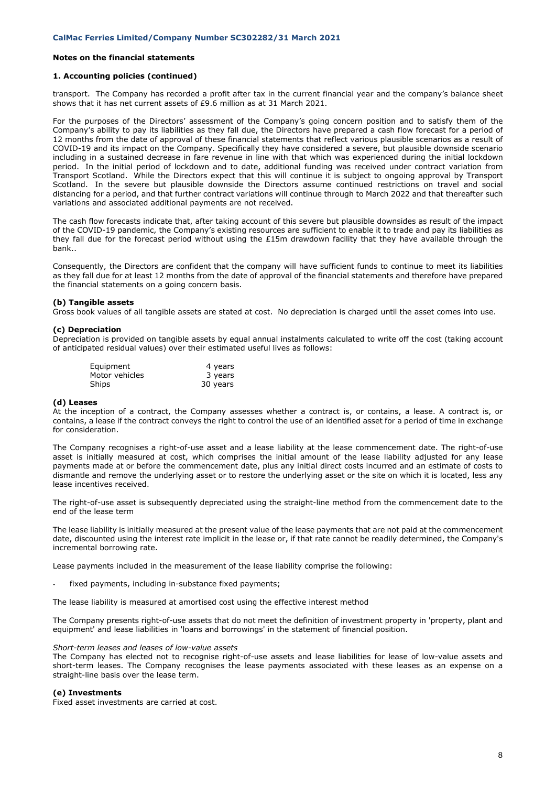# **1. Accounting policies (continued)**

transport. The Company has recorded a profit after tax in the current financial year and the company's balance sheet shows that it has net current assets of £9.6 million as at 31 March 2021.

For the purposes of the Directors' assessment of the Company's going concern position and to satisfy them of the Company's ability to pay its liabilities as they fall due, the Directors have prepared a cash flow forecast for a period of 12 months from the date of approval of these financial statements that reflect various plausible scenarios as a result of COVID-19 and its impact on the Company. Specifically they have considered a severe, but plausible downside scenario including in a sustained decrease in fare revenue in line with that which was experienced during the initial lockdown period. In the initial period of lockdown and to date, additional funding was received under contract variation from Transport Scotland. While the Directors expect that this will continue it is subject to ongoing approval by Transport Scotland. In the severe but plausible downside the Directors assume continued restrictions on travel and social distancing for a period, and that further contract variations will continue through to March 2022 and that thereafter such variations and associated additional payments are not received.

The cash flow forecasts indicate that, after taking account of this severe but plausible downsides as result of the impact of the COVID-19 pandemic, the Company's existing resources are sufficient to enable it to trade and pay its liabilities as they fall due for the forecast period without using the £15m drawdown facility that they have available through the bank..

Consequently, the Directors are confident that the company will have sufficient funds to continue to meet its liabilities as they fall due for at least 12 months from the date of approval of the financial statements and therefore have prepared the financial statements on a going concern basis.

# **(b) Tangible assets**

Gross book values of all tangible assets are stated at cost. No depreciation is charged until the asset comes into use.

#### **(c) Depreciation**

Depreciation is provided on tangible assets by equal annual instalments calculated to write off the cost (taking account of anticipated residual values) over their estimated useful lives as follows:

| Equipment      | 4 years  |
|----------------|----------|
| Motor vehicles | 3 years  |
| Ships          | 30 years |

#### **(d) Leases**

At the inception of a contract, the Company assesses whether a contract is, or contains, a lease. A contract is, or contains, a lease if the contract conveys the right to control the use of an identified asset for a period of time in exchange for consideration.

The Company recognises a right-of-use asset and a lease liability at the lease commencement date. The right-of-use asset is initially measured at cost, which comprises the initial amount of the lease liability adjusted for any lease payments made at or before the commencement date, plus any initial direct costs incurred and an estimate of costs to dismantle and remove the underlying asset or to restore the underlying asset or the site on which it is located, less any lease incentives received.

The right-of-use asset is subsequently depreciated using the straight-line method from the commencement date to the end of the lease term

The lease liability is initially measured at the present value of the lease payments that are not paid at the commencement date, discounted using the interest rate implicit in the lease or, if that rate cannot be readily determined, the Company's incremental borrowing rate.

Lease payments included in the measurement of the lease liability comprise the following:

fixed payments, including in-substance fixed payments;

The lease liability is measured at amortised cost using the effective interest method

The Company presents right-of-use assets that do not meet the definition of investment property in 'property, plant and equipment' and lease liabilities in 'loans and borrowings' in the statement of financial position.

#### *Short-term leases and leases of low-value assets*

The Company has elected not to recognise right-of-use assets and lease liabilities for lease of low-value assets and short-term leases. The Company recognises the lease payments associated with these leases as an expense on a straight-line basis over the lease term.

#### **(e) Investments**

Fixed asset investments are carried at cost.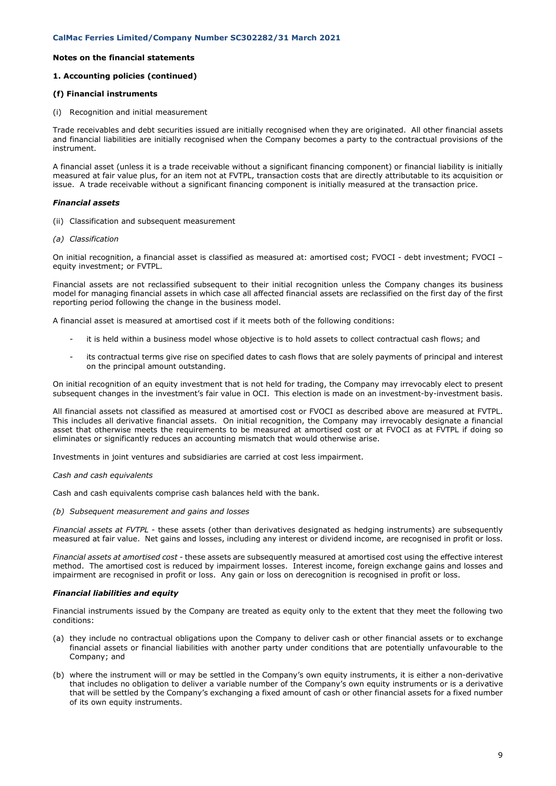# **Notes on the financial statements**

# **1. Accounting policies (continued)**

# **(f) Financial instruments**

(i) Recognition and initial measurement

Trade receivables and debt securities issued are initially recognised when they are originated. All other financial assets and financial liabilities are initially recognised when the Company becomes a party to the contractual provisions of the instrument.

A financial asset (unless it is a trade receivable without a significant financing component) or financial liability is initially measured at fair value plus, for an item not at FVTPL, transaction costs that are directly attributable to its acquisition or issue. A trade receivable without a significant financing component is initially measured at the transaction price.

# *Financial assets*

- (ii) Classification and subsequent measurement
- *(a) Classification*

On initial recognition, a financial asset is classified as measured at: amortised cost; FVOCI - debt investment; FVOCI – equity investment; or FVTPL.

Financial assets are not reclassified subsequent to their initial recognition unless the Company changes its business model for managing financial assets in which case all affected financial assets are reclassified on the first day of the first reporting period following the change in the business model.

A financial asset is measured at amortised cost if it meets both of the following conditions:

- it is held within a business model whose objective is to hold assets to collect contractual cash flows; and
- its contractual terms give rise on specified dates to cash flows that are solely payments of principal and interest on the principal amount outstanding.

On initial recognition of an equity investment that is not held for trading, the Company may irrevocably elect to present subsequent changes in the investment's fair value in OCI. This election is made on an investment-by-investment basis.

All financial assets not classified as measured at amortised cost or FVOCI as described above are measured at FVTPL. This includes all derivative financial assets. On initial recognition, the Company may irrevocably designate a financial asset that otherwise meets the requirements to be measured at amortised cost or at FVOCI as at FVTPL if doing so eliminates or significantly reduces an accounting mismatch that would otherwise arise.

Investments in joint ventures and subsidiaries are carried at cost less impairment.

#### *Cash and cash equivalents*

Cash and cash equivalents comprise cash balances held with the bank.

### *(b) Subsequent measurement and gains and losses*

*Financial assets at FVTPL -* these assets (other than derivatives designated as hedging instruments) are subsequently measured at fair value. Net gains and losses, including any interest or dividend income, are recognised in profit or loss.

*Financial assets at amortised cost -* these assets are subsequently measured at amortised cost using the effective interest method. The amortised cost is reduced by impairment losses. Interest income, foreign exchange gains and losses and impairment are recognised in profit or loss. Any gain or loss on derecognition is recognised in profit or loss.

# *Financial liabilities and equity*

Financial instruments issued by the Company are treated as equity only to the extent that they meet the following two conditions:

- (a) they include no contractual obligations upon the Company to deliver cash or other financial assets or to exchange financial assets or financial liabilities with another party under conditions that are potentially unfavourable to the Company; and
- (b) where the instrument will or may be settled in the Company's own equity instruments, it is either a non-derivative that includes no obligation to deliver a variable number of the Company's own equity instruments or is a derivative that will be settled by the Company's exchanging a fixed amount of cash or other financial assets for a fixed number of its own equity instruments.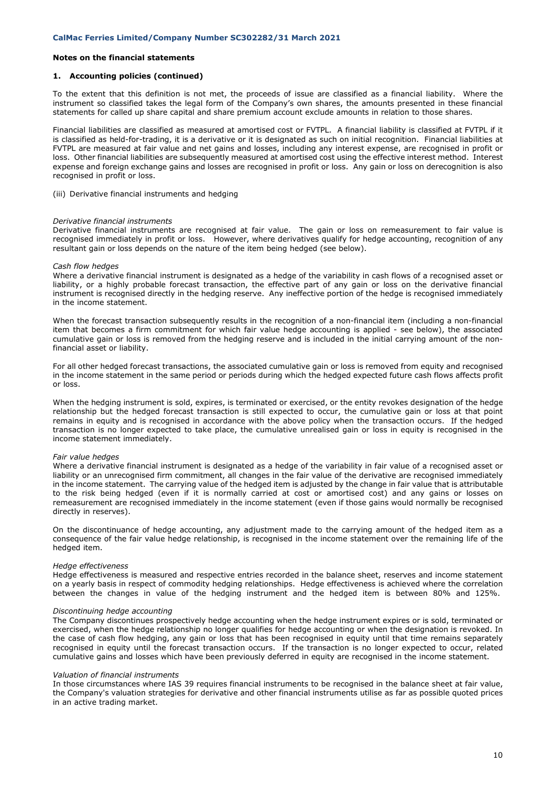### **1. Accounting policies (continued)**

To the extent that this definition is not met, the proceeds of issue are classified as a financial liability. Where the instrument so classified takes the legal form of the Company's own shares, the amounts presented in these financial statements for called up share capital and share premium account exclude amounts in relation to those shares.

Financial liabilities are classified as measured at amortised cost or FVTPL. A financial liability is classified at FVTPL if it is classified as held-for-trading, it is a derivative or it is designated as such on initial recognition. Financial liabilities at FVTPL are measured at fair value and net gains and losses, including any interest expense, are recognised in profit or loss. Other financial liabilities are subsequently measured at amortised cost using the effective interest method. Interest expense and foreign exchange gains and losses are recognised in profit or loss. Any gain or loss on derecognition is also recognised in profit or loss.

(iii) Derivative financial instruments and hedging

#### *Derivative financial instruments*

Derivative financial instruments are recognised at fair value. The gain or loss on remeasurement to fair value is recognised immediately in profit or loss. However, where derivatives qualify for hedge accounting, recognition of any resultant gain or loss depends on the nature of the item being hedged (see below).

#### *Cash flow hedges*

Where a derivative financial instrument is designated as a hedge of the variability in cash flows of a recognised asset or liability, or a highly probable forecast transaction, the effective part of any gain or loss on the derivative financial instrument is recognised directly in the hedging reserve. Any ineffective portion of the hedge is recognised immediately in the income statement.

When the forecast transaction subsequently results in the recognition of a non-financial item (including a non-financial item that becomes a firm commitment for which fair value hedge accounting is applied - see below), the associated cumulative gain or loss is removed from the hedging reserve and is included in the initial carrying amount of the nonfinancial asset or liability.

For all other hedged forecast transactions, the associated cumulative gain or loss is removed from equity and recognised in the income statement in the same period or periods during which the hedged expected future cash flows affects profit or loss.

When the hedging instrument is sold, expires, is terminated or exercised, or the entity revokes designation of the hedge relationship but the hedged forecast transaction is still expected to occur, the cumulative gain or loss at that point remains in equity and is recognised in accordance with the above policy when the transaction occurs. If the hedged transaction is no longer expected to take place, the cumulative unrealised gain or loss in equity is recognised in the income statement immediately.

#### *Fair value hedges*

Where a derivative financial instrument is designated as a hedge of the variability in fair value of a recognised asset or liability or an unrecognised firm commitment, all changes in the fair value of the derivative are recognised immediately in the income statement. The carrying value of the hedged item is adjusted by the change in fair value that is attributable to the risk being hedged (even if it is normally carried at cost or amortised cost) and any gains or losses on remeasurement are recognised immediately in the income statement (even if those gains would normally be recognised directly in reserves).

On the discontinuance of hedge accounting, any adjustment made to the carrying amount of the hedged item as a consequence of the fair value hedge relationship, is recognised in the income statement over the remaining life of the hedged item.

### *Hedge effectiveness*

Hedge effectiveness is measured and respective entries recorded in the balance sheet, reserves and income statement on a yearly basis in respect of commodity hedging relationships. Hedge effectiveness is achieved where the correlation between the changes in value of the hedging instrument and the hedged item is between 80% and 125%.

### *Discontinuing hedge accounting*

The Company discontinues prospectively hedge accounting when the hedge instrument expires or is sold, terminated or exercised, when the hedge relationship no longer qualifies for hedge accounting or when the designation is revoked. In the case of cash flow hedging, any gain or loss that has been recognised in equity until that time remains separately recognised in equity until the forecast transaction occurs. If the transaction is no longer expected to occur, related cumulative gains and losses which have been previously deferred in equity are recognised in the income statement.

#### *Valuation of financial instruments*

In those circumstances where IAS 39 requires financial instruments to be recognised in the balance sheet at fair value, the Company's valuation strategies for derivative and other financial instruments utilise as far as possible quoted prices in an active trading market.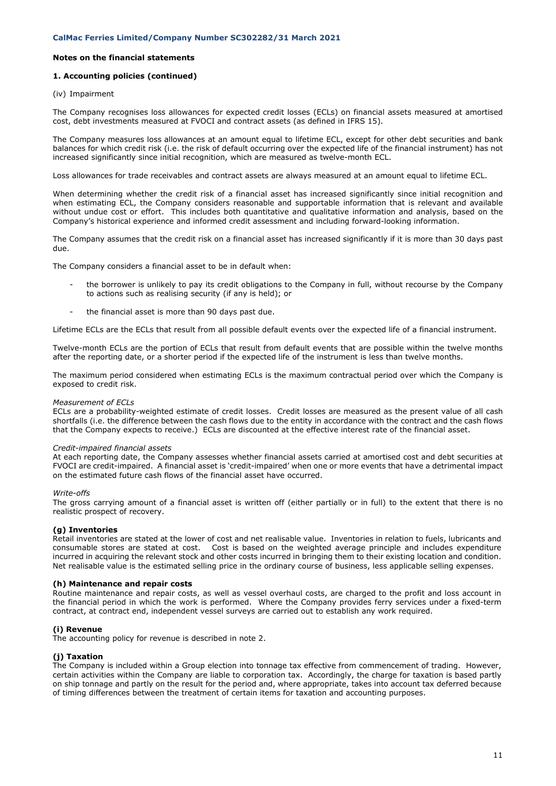# **1. Accounting policies (continued)**

### (iv) Impairment

The Company recognises loss allowances for expected credit losses (ECLs) on financial assets measured at amortised cost, debt investments measured at FVOCI and contract assets (as defined in IFRS 15).

The Company measures loss allowances at an amount equal to lifetime ECL, except for other debt securities and bank balances for which credit risk (i.e. the risk of default occurring over the expected life of the financial instrument) has not increased significantly since initial recognition, which are measured as twelve-month ECL.

Loss allowances for trade receivables and contract assets are always measured at an amount equal to lifetime ECL.

When determining whether the credit risk of a financial asset has increased significantly since initial recognition and when estimating ECL, the Company considers reasonable and supportable information that is relevant and available without undue cost or effort. This includes both quantitative and qualitative information and analysis, based on the Company's historical experience and informed credit assessment and including forward-looking information.

The Company assumes that the credit risk on a financial asset has increased significantly if it is more than 30 days past due.

The Company considers a financial asset to be in default when:

- the borrower is unlikely to pay its credit obligations to the Company in full, without recourse by the Company to actions such as realising security (if any is held); or
- the financial asset is more than 90 days past due.

Lifetime ECLs are the ECLs that result from all possible default events over the expected life of a financial instrument.

Twelve-month ECLs are the portion of ECLs that result from default events that are possible within the twelve months after the reporting date, or a shorter period if the expected life of the instrument is less than twelve months.

The maximum period considered when estimating ECLs is the maximum contractual period over which the Company is exposed to credit risk.

#### *Measurement of ECLs*

ECLs are a probability-weighted estimate of credit losses. Credit losses are measured as the present value of all cash shortfalls (i.e. the difference between the cash flows due to the entity in accordance with the contract and the cash flows that the Company expects to receive.) ECLs are discounted at the effective interest rate of the financial asset.

#### *Credit-impaired financial assets*

At each reporting date, the Company assesses whether financial assets carried at amortised cost and debt securities at FVOCI are credit-impaired. A financial asset is 'credit-impaired' when one or more events that have a detrimental impact on the estimated future cash flows of the financial asset have occurred.

#### *Write-offs*

The gross carrying amount of a financial asset is written off (either partially or in full) to the extent that there is no realistic prospect of recovery.

# **(g) Inventories**

Retail inventories are stated at the lower of cost and net realisable value. Inventories in relation to fuels, lubricants and consumable stores are stated at cost. Cost is based on the weighted average principle and includes expenditure incurred in acquiring the relevant stock and other costs incurred in bringing them to their existing location and condition. Net realisable value is the estimated selling price in the ordinary course of business, less applicable selling expenses.

#### **(h) Maintenance and repair costs**

Routine maintenance and repair costs, as well as vessel overhaul costs, are charged to the profit and loss account in the financial period in which the work is performed. Where the Company provides ferry services under a fixed-term contract, at contract end, independent vessel surveys are carried out to establish any work required.

# **(i) Revenue**

The accounting policy for revenue is described in note 2.

# **(j) Taxation**

The Company is included within a Group election into tonnage tax effective from commencement of trading. However, certain activities within the Company are liable to corporation tax. Accordingly, the charge for taxation is based partly on ship tonnage and partly on the result for the period and, where appropriate, takes into account tax deferred because of timing differences between the treatment of certain items for taxation and accounting purposes.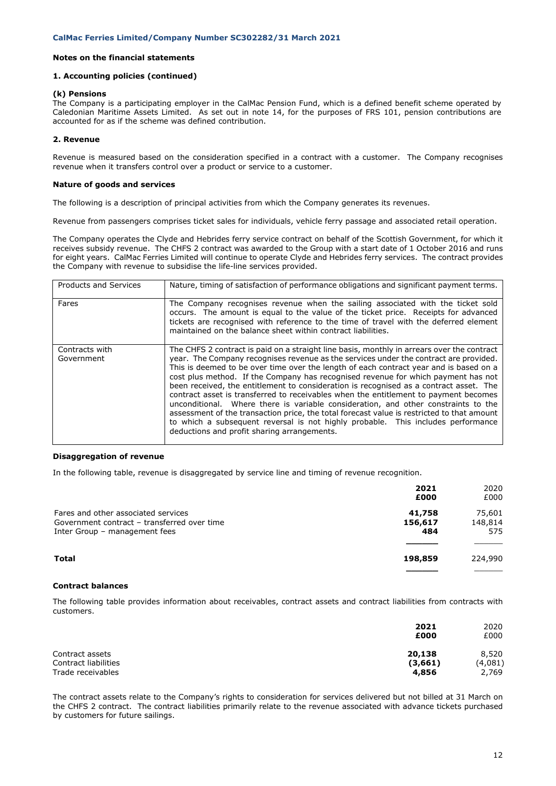# **1. Accounting policies (continued)**

### **(k) Pensions**

The Company is a participating employer in the CalMac Pension Fund, which is a defined benefit scheme operated by Caledonian Maritime Assets Limited. As set out in note 14, for the purposes of FRS 101, pension contributions are accounted for as if the scheme was defined contribution.

# **2. Revenue**

Revenue is measured based on the consideration specified in a contract with a customer. The Company recognises revenue when it transfers control over a product or service to a customer.

### **Nature of goods and services**

The following is a description of principal activities from which the Company generates its revenues.

Revenue from passengers comprises ticket sales for individuals, vehicle ferry passage and associated retail operation.

The Company operates the Clyde and Hebrides ferry service contract on behalf of the Scottish Government, for which it receives subsidy revenue. The CHFS 2 contract was awarded to the Group with a start date of 1 October 2016 and runs for eight years. CalMac Ferries Limited will continue to operate Clyde and Hebrides ferry services. The contract provides the Company with revenue to subsidise the life-line services provided.

| <b>Products and Services</b> | Nature, timing of satisfaction of performance obligations and significant payment terms.                                                                                                                                                                                                                                                                                                                                                                                                                                                                                                                                                                                                                                                                                                                                                                                    |
|------------------------------|-----------------------------------------------------------------------------------------------------------------------------------------------------------------------------------------------------------------------------------------------------------------------------------------------------------------------------------------------------------------------------------------------------------------------------------------------------------------------------------------------------------------------------------------------------------------------------------------------------------------------------------------------------------------------------------------------------------------------------------------------------------------------------------------------------------------------------------------------------------------------------|
| Fares                        | The Company recognises revenue when the sailing associated with the ticket sold<br>occurs. The amount is equal to the value of the ticket price. Receipts for advanced<br>tickets are recognised with reference to the time of travel with the deferred element<br>maintained on the balance sheet within contract liabilities.                                                                                                                                                                                                                                                                                                                                                                                                                                                                                                                                             |
| Contracts with<br>Government | The CHFS 2 contract is paid on a straight line basis, monthly in arrears over the contract<br>year. The Company recognises revenue as the services under the contract are provided.<br>This is deemed to be over time over the length of each contract year and is based on a<br>cost plus method. If the Company has recognised revenue for which payment has not<br>been received, the entitlement to consideration is recognised as a contract asset. The<br>contract asset is transferred to receivables when the entitlement to payment becomes<br>unconditional. Where there is variable consideration, and other constraints to the<br>assessment of the transaction price, the total forecast value is restricted to that amount<br>to which a subsequent reversal is not highly probable. This includes performance<br>deductions and profit sharing arrangements. |

### **Disaggregation of revenue**

In the following table, revenue is disaggregated by service line and timing of revenue recognition.

|                                             | 2021<br>£000 | 2020<br>£000 |
|---------------------------------------------|--------------|--------------|
|                                             |              |              |
| Fares and other associated services         | 41,758       | 75,601       |
| Government contract - transferred over time | 156,617      | 148,814      |
| Inter Group - management fees               | 484          | 575          |
|                                             |              |              |
| <b>Total</b>                                | 198,859      | 224,990      |
|                                             |              |              |

# **Contract balances**

The following table provides information about receivables, contract assets and contract liabilities from contracts with customers.

|                      | 2021    | 2020    |
|----------------------|---------|---------|
|                      | £000    | £000    |
| Contract assets      | 20,138  | 8,520   |
| Contract liabilities | (3,661) | (4,081) |
| Trade receivables    | 4,856   | 2,769   |

The contract assets relate to the Company's rights to consideration for services delivered but not billed at 31 March on the CHFS 2 contract. The contract liabilities primarily relate to the revenue associated with advance tickets purchased by customers for future sailings.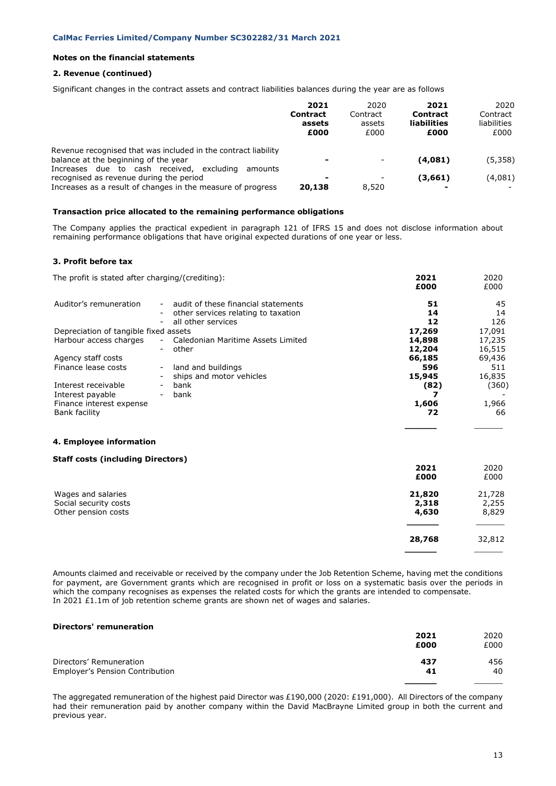# **2. Revenue (continued)**

Significant changes in the contract assets and contract liabilities balances during the year are as follows

|                                                                                                                                                                   | 2021<br><b>Contract</b><br>assets<br>£000 | 2020<br>Contract<br>assets<br>£000 | 2021<br><b>Contract</b><br><b>liabilities</b><br>£000 | 2020<br>Contract<br>liabilities<br>£000 |
|-------------------------------------------------------------------------------------------------------------------------------------------------------------------|-------------------------------------------|------------------------------------|-------------------------------------------------------|-----------------------------------------|
| Revenue recognised that was included in the contract liability<br>balance at the beginning of the year                                                            | $\overline{\phantom{0}}$                  |                                    | (4.081)                                               | (5,358)                                 |
| Increases due to cash received,<br>excludina<br>amounts<br>recognised as revenue during the period<br>Increases as a result of changes in the measure of progress | -<br>20,138                               | 8,520                              | (3,661)                                               | (4,081)                                 |

# **Transaction price allocated to the remaining performance obligations**

The Company applies the practical expedient in paragraph 121 of IFRS 15 and does not disclose information about remaining performance obligations that have original expected durations of one year or less.

# **3. Profit before tax**

| The profit is stated after charging/(crediting): |                                                           | 2021     | 2020      |
|--------------------------------------------------|-----------------------------------------------------------|----------|-----------|
|                                                  |                                                           | £000     | £000      |
| Auditor's remuneration                           | audit of these financial statements                       | 51       | 45        |
|                                                  | other services relating to taxation<br>all other services | 14<br>12 | 14<br>126 |
| Depreciation of tangible fixed assets            |                                                           | 17,269   | 17,091    |
| Harbour access charges                           | Caledonian Maritime Assets Limited                        | 14,898   | 17,235    |
|                                                  | other                                                     | 12,204   | 16,515    |
| Agency staff costs                               |                                                           | 66,185   | 69,436    |
| Finance lease costs                              | land and buildings                                        | 596      | 511       |
|                                                  | ships and motor vehicles                                  | 15,945   | 16,835    |
| Interest receivable                              | bank                                                      | (82)     | (360)     |
| Interest payable                                 | bank                                                      |          |           |
| Finance interest expense                         |                                                           | 1,606    | 1,966     |
| Bank facility                                    |                                                           | 72       | 66        |
|                                                  |                                                           |          |           |
|                                                  |                                                           |          |           |

# **4. Employee information**

# **Staff costs (including Directors)**

|                       | 2021<br>£000 | 2020<br>£000 |
|-----------------------|--------------|--------------|
| Wages and salaries    | 21,820       | 21,728       |
| Social security costs | 2,318        | 2,255        |
| Other pension costs   | 4,630        | 8,829        |
|                       | 28,768       | 32,812       |
|                       |              |              |

Amounts claimed and receivable or received by the company under the Job Retention Scheme, having met the conditions for payment, are Government grants which are recognised in profit or loss on a systematic basis over the periods in which the company recognises as expenses the related costs for which the grants are intended to compensate. In 2021 £1.1m of job retention scheme grants are shown net of wages and salaries.

# **Directors' remuneration**

|                                 | 2021 | 2020 |
|---------------------------------|------|------|
|                                 | £000 | £000 |
| Directors' Remuneration         | 437  | 456  |
| Employer's Pension Contribution | 41   | 40   |
|                                 |      |      |

The aggregated remuneration of the highest paid Director was £190,000 (2020: £191,000). All Directors of the company had their remuneration paid by another company within the David MacBrayne Limited group in both the current and previous year.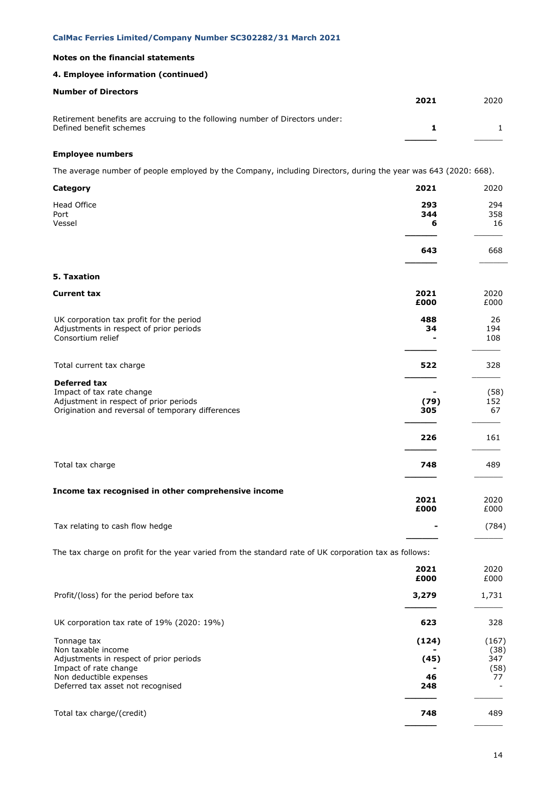# **4. Employee information (continued)**

| <b>Number of Directors</b>                                                                              | 2021 | 2020 |
|---------------------------------------------------------------------------------------------------------|------|------|
| Retirement benefits are accruing to the following number of Directors under:<br>Defined benefit schemes |      |      |
|                                                                                                         |      |      |

# **Employee numbers**

The average number of people employed by the Company, including Directors, during the year was 643 (2020: 668).

| Category                                                                                                                                        | 2021         | 2020              |
|-------------------------------------------------------------------------------------------------------------------------------------------------|--------------|-------------------|
| Head Office<br>Port                                                                                                                             | 293<br>344   | 294<br>358        |
| Vessel                                                                                                                                          | 6            | 16                |
|                                                                                                                                                 | 643          | 668               |
| 5. Taxation                                                                                                                                     |              |                   |
| <b>Current tax</b>                                                                                                                              | 2021<br>£000 | 2020<br>£000      |
| UK corporation tax profit for the period<br>Adjustments in respect of prior periods<br>Consortium relief                                        | 488<br>34    | 26<br>194<br>108  |
| Total current tax charge                                                                                                                        | 522          | 328               |
| <b>Deferred tax</b><br>Impact of tax rate change<br>Adjustment in respect of prior periods<br>Origination and reversal of temporary differences | (79)<br>305  | (58)<br>152<br>67 |
|                                                                                                                                                 | 226          | 161               |
| Total tax charge                                                                                                                                | 748          | 489               |
| Income tax recognised in other comprehensive income                                                                                             | 2021<br>£000 | 2020<br>£000      |
| Tax relating to cash flow hedge                                                                                                                 |              | (784)             |
| The tax charge on profit for the year varied from the standard rate of UK corporation tax as follows:                                           |              |                   |
|                                                                                                                                                 | 2021<br>£000 | 2020<br>£000      |
| Profit/(loss) for the period before tax                                                                                                         | 3,279        | 1,731             |
| UK corporation tax rate of 19% (2020: 19%)                                                                                                      | 623          | 328               |
| Tonnage tax<br>Non taxable income                                                                                                               | (124)        | (167)<br>(38)     |
| Adjustments in respect of prior periods<br>Impact of rate change                                                                                | (45)         | 347<br>(58)       |
| Non deductible expenses<br>Deferred tax asset not recognised                                                                                    | 46<br>248    | 77                |
| Total tax charge/(credit)                                                                                                                       | 748          | 489               |

**\_\_\_\_\_\_** \_\_\_\_\_\_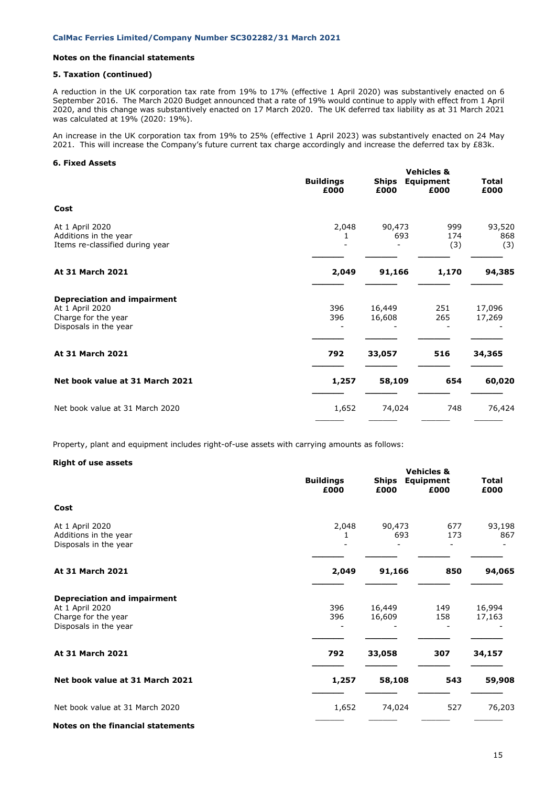## **5. Taxation (continued)**

A reduction in the UK corporation tax rate from 19% to 17% (effective 1 April 2020) was substantively enacted on 6 September 2016. The March 2020 Budget announced that a rate of 19% would continue to apply with effect from 1 April 2020, and this change was substantively enacted on 17 March 2020. The UK deferred tax liability as at 31 March 2021 was calculated at 19% (2020: 19%).

An increase in the UK corporation tax from 19% to 25% (effective 1 April 2023) was substantively enacted on 24 May 2021. This will increase the Company's future current tax charge accordingly and increase the deferred tax by £83k.

# **6. Fixed Assets**

|                                                                                                       | <b>Buildings</b><br>£000 | <b>Ships</b><br>£000 | <b>Vehicles &amp;</b><br>Equipment<br>£000 | Total<br>£000        |
|-------------------------------------------------------------------------------------------------------|--------------------------|----------------------|--------------------------------------------|----------------------|
| Cost                                                                                                  |                          |                      |                                            |                      |
| At 1 April 2020<br>Additions in the year<br>Items re-classified during year                           | 2,048                    | 90,473<br>693        | 999<br>174<br>(3)                          | 93,520<br>868<br>(3) |
| At 31 March 2021                                                                                      | 2,049                    | 91,166               | 1,170                                      | 94,385               |
| <b>Depreciation and impairment</b><br>At 1 April 2020<br>Charge for the year<br>Disposals in the year | 396<br>396               | 16,449<br>16,608     | 251<br>265                                 | 17,096<br>17,269     |
| At 31 March 2021                                                                                      | 792                      | 33,057               | 516                                        | 34,365               |
| Net book value at 31 March 2021                                                                       | 1,257                    | 58,109               | 654                                        | 60,020               |
| Net book value at 31 March 2020                                                                       | 1,652                    | 74,024               | 748                                        | 76,424               |
|                                                                                                       |                          |                      |                                            |                      |

Property, plant and equipment includes right-of-use assets with carrying amounts as follows:

### **Right of use assets**

|                                                                                                       |                          | <b>Vehicles &amp;</b> |                          |                      |  |
|-------------------------------------------------------------------------------------------------------|--------------------------|-----------------------|--------------------------|----------------------|--|
|                                                                                                       | <b>Buildings</b><br>£000 | <b>Ships</b><br>£000  | <b>Equipment</b><br>£000 | <b>Total</b><br>£000 |  |
| Cost                                                                                                  |                          |                       |                          |                      |  |
| At 1 April 2020<br>Additions in the year<br>Disposals in the year                                     | 2,048                    | 90,473<br>693         | 677<br>173               | 93,198<br>867        |  |
| At 31 March 2021                                                                                      | 2,049                    | 91,166                | 850                      | 94,065               |  |
| <b>Depreciation and impairment</b><br>At 1 April 2020<br>Charge for the year<br>Disposals in the year | 396<br>396               | 16,449<br>16,609      | 149<br>158               | 16,994<br>17,163     |  |
| At 31 March 2021                                                                                      | 792                      | 33,058                | 307                      | 34,157               |  |
| Net book value at 31 March 2021                                                                       | 1,257                    | 58,108                | 543                      | 59,908               |  |
| Net book value at 31 March 2020                                                                       | 1,652                    | 74,024                | 527                      | 76,203               |  |
| Notes on the financial statements                                                                     |                          |                       |                          |                      |  |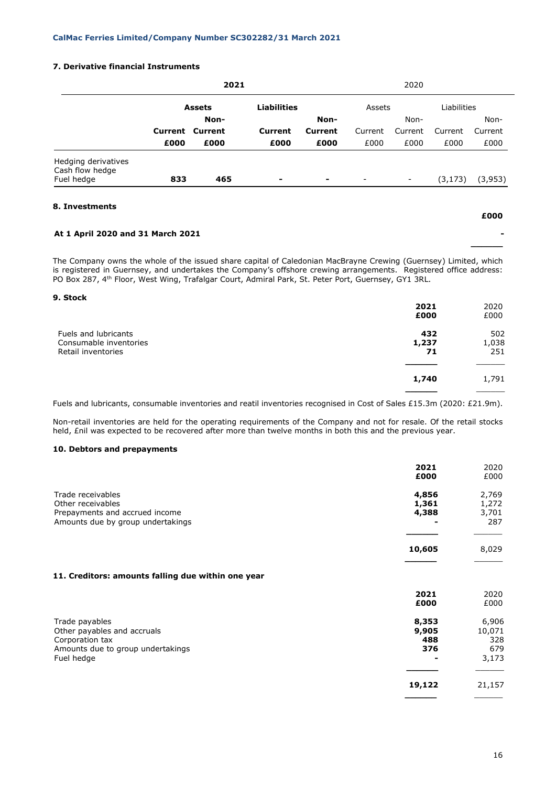# **7. Derivative financial Instruments**

|                                        | 2021 |                        |                    |                | 2020                     |                          |             |         |  |
|----------------------------------------|------|------------------------|--------------------|----------------|--------------------------|--------------------------|-------------|---------|--|
|                                        |      | <b>Assets</b>          | <b>Liabilities</b> |                | Assets                   |                          | Liabilities |         |  |
|                                        | Non- |                        |                    | Non-           |                          | Non-                     |             | Non-    |  |
|                                        |      | <b>Current Current</b> | Current            | <b>Current</b> | Current                  | Current                  | Current     | Current |  |
|                                        | £000 | £000                   | £000               | £000           | £000                     | £000                     | £000        | £000    |  |
| Hedging derivatives<br>Cash flow hedge |      |                        |                    |                |                          |                          |             |         |  |
| Fuel hedge                             | 833  | 465                    | ۰                  | ۰              | $\overline{\phantom{a}}$ | $\overline{\phantom{a}}$ | (3, 173)    | (3,953) |  |
|                                        |      |                        |                    |                |                          |                          |             |         |  |

# **8. Investments**

# **At 1 April 2020 and 31 March 2021 -**

The Company owns the whole of the issued share capital of Caledonian MacBrayne Crewing (Guernsey) Limited, which is registered in Guernsey, and undertakes the Company's offshore crewing arrangements. Registered office address: PO Box 287, 4<sup>th</sup> Floor, West Wing, Trafalgar Court, Admiral Park, St. Peter Port, Guernsey, GY1 3RL.

# **9. Stock**

|                                                | 2021<br>£000 | 2020<br>£000 |
|------------------------------------------------|--------------|--------------|
| Fuels and lubricants<br>Consumable inventories | 432<br>1,237 | 502<br>1,038 |
| Retail inventories                             | 71           | 251          |
|                                                | 1,740        | 1,791        |
|                                                |              |              |

Fuels and lubricants, consumable inventories and reatil inventories recognised in Cost of Sales £15.3m (2020: £21.9m).

Non-retail inventories are held for the operating requirements of the Company and not for resale. Of the retail stocks held, £nil was expected to be recovered after more than twelve months in both this and the previous year.

# **10. Debtors and prepayments**

|                                                    | 2021<br>£000 | 2020<br>£000 |
|----------------------------------------------------|--------------|--------------|
| Trade receivables                                  | 4,856        | 2,769        |
| Other receivables                                  | 1,361        | 1,272        |
| Prepayments and accrued income                     | 4,388        | 3,701        |
| Amounts due by group undertakings                  |              | 287          |
|                                                    | 10,605       | 8,029        |
| 11. Creditors: amounts falling due within one year |              |              |
|                                                    | 2021         | 2020         |
|                                                    | £000         | £000         |
| Trade payables                                     | 8,353        | 6,906        |
| Other payables and accruals                        | 9,905        | 10,071       |
| Corporation tax                                    | 488          | 328          |
| Amounts due to group undertakings                  | 376          | 679          |
| Fuel hedge                                         |              | 3,173        |
|                                                    | 19,122       | 21,157       |
|                                                    |              |              |

**£000**

**\_\_\_\_\_\_**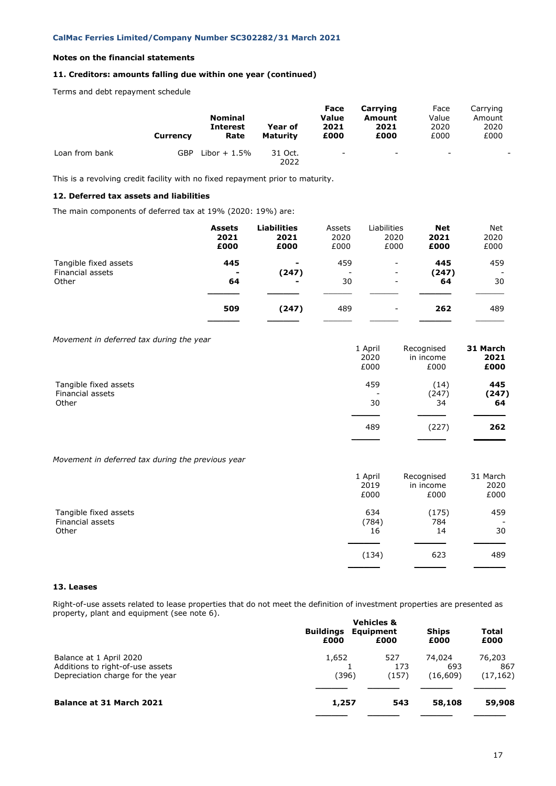# **11. Creditors: amounts falling due within one year (continued)**

Terms and debt repayment schedule

|                | <b>Currency</b> | <b>Nominal</b><br><b>Interest</b><br>Rate | Year of<br>Maturity | Face<br>Value<br>2021<br>£000 | Carrying<br>Amount<br>2021<br>£000 | Face<br>Value<br>2020<br>£000 | Carrying<br>Amount<br>2020<br>£000 |
|----------------|-----------------|-------------------------------------------|---------------------|-------------------------------|------------------------------------|-------------------------------|------------------------------------|
| Loan from bank | GBP             | Libor $+1.5\%$                            | 31 Oct.<br>2022     | $\overline{\phantom{a}}$      | $\overline{\phantom{0}}$           | $\overline{\phantom{0}}$      |                                    |

This is a revolving credit facility with no fixed repayment prior to maturity.

# **12. Deferred tax assets and liabilities**

The main components of deferred tax at 19% (2020: 19%) are:

|                                                    | <b>Assets</b><br>2021<br>£000 | <b>Liabilities</b><br>2021<br>£000 | Assets<br>2020<br>£000 | Liabilities<br>2020<br>£000                                                      | <b>Net</b><br>2021<br>£000 | <b>Net</b><br>2020<br>£000            |
|----------------------------------------------------|-------------------------------|------------------------------------|------------------------|----------------------------------------------------------------------------------|----------------------------|---------------------------------------|
| Tangible fixed assets<br>Financial assets<br>Other | 445<br>$\blacksquare$<br>64   | ۰<br>(247)<br>۰                    | 459<br>30              | $\overline{\phantom{a}}$<br>$\overline{\phantom{a}}$<br>$\overline{\phantom{a}}$ | 445<br>(247)<br>64         | 459<br>$\overline{\phantom{a}}$<br>30 |
|                                                    | 509                           | (247)                              | 489                    | $\overline{\phantom{0}}$                                                         | 262                        | 489                                   |

*Movement in deferred tax during the year*

|                       | 1 April                  | Recognised | 31 March |
|-----------------------|--------------------------|------------|----------|
|                       | 2020                     | in income  | 2021     |
|                       | £000                     | £000       | £000     |
| Tangible fixed assets | 459                      | (14)       | 445      |
| Financial assets      | $\overline{\phantom{a}}$ | (247)      | (247)    |
| Other                 | 30                       | 34         | 64       |
|                       | 489                      | (227)      | 262      |

*Movement in deferred tax during the previous year*

|                       | 1 April | Recognised | 31 March |
|-----------------------|---------|------------|----------|
|                       | 2019    | in income  | 2020     |
|                       | £000    | £000       | £000     |
| Tangible fixed assets | 634     | (175)      | 459      |
| Financial assets      | (784)   | 784        | -        |
| Other                 | 16      | 14         | 30       |
|                       | (134)   | 623        | 489      |

# **13. Leases**

Right-of-use assets related to lease properties that do not meet the definition of investment properties are presented as property, plant and equipment (see note 6).

| <b>Buildings</b> | Equipment | <b>Ships</b>                            | Total     |
|------------------|-----------|-----------------------------------------|-----------|
| £000             | £000      | £000                                    | £000      |
| 1,652            | 527       | 74.024                                  | 76,203    |
|                  | 173       | 693                                     | 867       |
|                  | (157)     | (16, 609)                               | (17, 162) |
|                  | 543       | 58,108                                  | 59,908    |
|                  |           | <b>Vehicles &amp;</b><br>(396)<br>1,257 |           |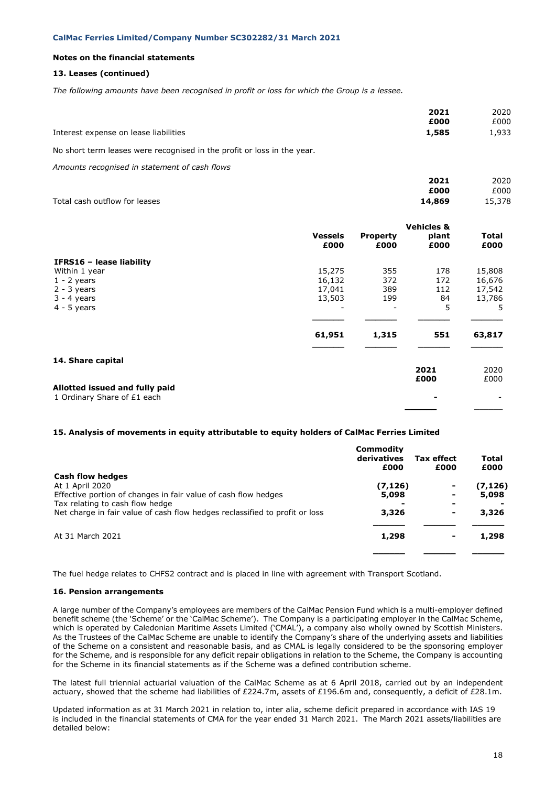# **13. Leases (continued)**

*The following amounts have been recognised in profit or loss for which the Group is a lessee.*

|                                       | 2021  | 2020  |
|---------------------------------------|-------|-------|
|                                       | £000  | £000  |
| Interest expense on lease liabilities | 1,585 | 1.933 |

No short term leases were recognised in the profit or loss in the year.

*Amounts recognised in statement of cash flows*

|                               | 2021   | 2020   |
|-------------------------------|--------|--------|
|                               | £000   | £000   |
| Total cash outflow for leases | 14,869 | 15,378 |

|                                |                        |                              | <b>Vehicles &amp;</b> |               |
|--------------------------------|------------------------|------------------------------|-----------------------|---------------|
|                                | <b>Vessels</b><br>£000 | <b>Property</b><br>£000      | plant<br>£000         | Total<br>£000 |
| IFRS16 - lease liability       |                        |                              |                       |               |
| Within 1 year                  | 15,275                 | 355                          | 178                   | 15,808        |
| $1 - 2$ years                  | 16,132                 | 372                          | 172                   | 16,676        |
| $2 - 3$ years                  | 17,041                 | 389                          | 112                   | 17,542        |
| $3 - 4$ years                  | 13,503                 | 199                          | 84                    | 13,786        |
| $4 - 5$ years                  |                        | $\qquad \qquad \blacksquare$ | 5                     | 5             |
|                                | 61,951                 | 1,315                        | 551                   | 63,817        |
| 14. Share capital              |                        |                              | 2021                  | 2020          |
|                                |                        |                              | £000                  | £000          |
| Allotted issued and fully paid |                        |                              |                       |               |
| 1 Ordinary Share of £1 each    |                        |                              |                       |               |
|                                |                        |                              |                       |               |

#### **15. Analysis of movements in equity attributable to equity holders of CalMac Ferries Limited**

|                                                                                                                | Commodity<br>derivatives<br>£000 | <b>Tax effect</b><br>£000 | <b>Total</b><br>£000 |
|----------------------------------------------------------------------------------------------------------------|----------------------------------|---------------------------|----------------------|
| Cash flow hedges<br>At 1 April 2020<br>Effective portion of changes in fair value of cash flow hedges          | (7, 126)<br>5,098                |                           | (7, 126)<br>5,098    |
| Tax relating to cash flow hedge<br>Net charge in fair value of cash flow hedges reclassified to profit or loss | 3,326                            | ۰<br>۰                    | 3,326                |
| At 31 March 2021                                                                                               | 1,298                            |                           | 1,298                |
|                                                                                                                |                                  |                           |                      |

The fuel hedge relates to CHFS2 contract and is placed in line with agreement with Transport Scotland.

#### **16. Pension arrangements**

A large number of the Company's employees are members of the CalMac Pension Fund which is a multi-employer defined benefit scheme (the 'Scheme' or the 'CalMac Scheme'). The Company is a participating employer in the CalMac Scheme, which is operated by Caledonian Maritime Assets Limited ('CMAL'), a company also wholly owned by Scottish Ministers. As the Trustees of the CalMac Scheme are unable to identify the Company's share of the underlying assets and liabilities of the Scheme on a consistent and reasonable basis, and as CMAL is legally considered to be the sponsoring employer for the Scheme, and is responsible for any deficit repair obligations in relation to the Scheme, the Company is accounting for the Scheme in its financial statements as if the Scheme was a defined contribution scheme.

The latest full triennial actuarial valuation of the CalMac Scheme as at 6 April 2018, carried out by an independent actuary, showed that the scheme had liabilities of £224.7m, assets of £196.6m and, consequently, a deficit of £28.1m.

Updated information as at 31 March 2021 in relation to, inter alia, scheme deficit prepared in accordance with IAS 19 is included in the financial statements of CMA for the year ended 31 March 2021. The March 2021 assets/liabilities are detailed below: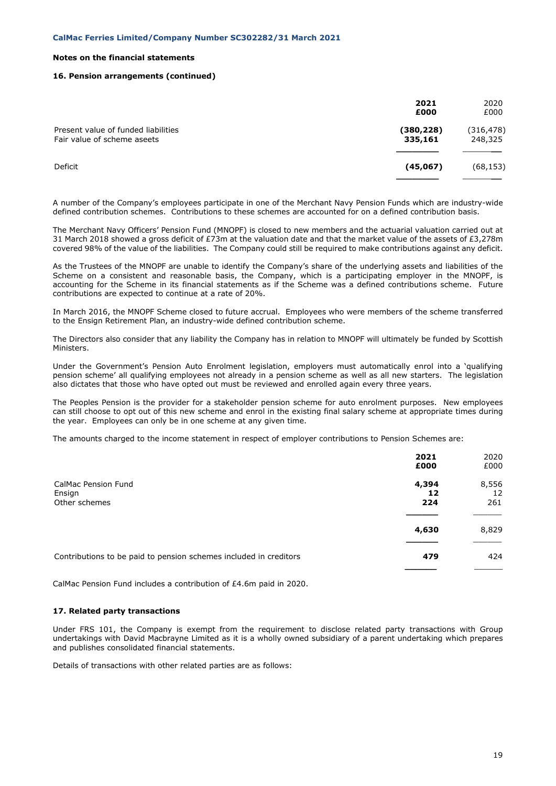### **16. Pension arrangements (continued)**

|                                                                    | 2021<br>£000          | 2020<br>£000          |
|--------------------------------------------------------------------|-----------------------|-----------------------|
| Present value of funded liabilities<br>Fair value of scheme aseets | (380, 228)<br>335,161 | (316, 478)<br>248,325 |
| Deficit                                                            | (45,067)              | (68, 153)             |

A number of the Company's employees participate in one of the Merchant Navy Pension Funds which are industry-wide defined contribution schemes. Contributions to these schemes are accounted for on a defined contribution basis.

The Merchant Navy Officers' Pension Fund (MNOPF) is closed to new members and the actuarial valuation carried out at 31 March 2018 showed a gross deficit of £73m at the valuation date and that the market value of the assets of £3,278m covered 98% of the value of the liabilities. The Company could still be required to make contributions against any deficit.

As the Trustees of the MNOPF are unable to identify the Company's share of the underlying assets and liabilities of the Scheme on a consistent and reasonable basis, the Company, which is a participating employer in the MNOPF, is accounting for the Scheme in its financial statements as if the Scheme was a defined contributions scheme. Future contributions are expected to continue at a rate of 20%.

In March 2016, the MNOPF Scheme closed to future accrual. Employees who were members of the scheme transferred to the Ensign Retirement Plan, an industry-wide defined contribution scheme.

The Directors also consider that any liability the Company has in relation to MNOPF will ultimately be funded by Scottish Ministers.

Under the Government's Pension Auto Enrolment legislation, employers must automatically enrol into a 'qualifying pension scheme' all qualifying employees not already in a pension scheme as well as all new starters. The legislation also dictates that those who have opted out must be reviewed and enrolled again every three years.

The Peoples Pension is the provider for a stakeholder pension scheme for auto enrolment purposes. New employees can still choose to opt out of this new scheme and enrol in the existing final salary scheme at appropriate times during the year. Employees can only be in one scheme at any given time.

The amounts charged to the income statement in respect of employer contributions to Pension Schemes are:

|                                                                   | 2021<br>£000 | 2020<br>£000 |
|-------------------------------------------------------------------|--------------|--------------|
| <b>CalMac Pension Fund</b>                                        | 4,394        | 8,556        |
| Ensign<br>Other schemes                                           | 12<br>224    | 12<br>261    |
|                                                                   |              |              |
|                                                                   | 4,630        | 8,829        |
| Contributions to be paid to pension schemes included in creditors | 479          | 424          |
|                                                                   |              |              |

CalMac Pension Fund includes a contribution of £4.6m paid in 2020.

### **17. Related party transactions**

Under FRS 101, the Company is exempt from the requirement to disclose related party transactions with Group undertakings with David Macbrayne Limited as it is a wholly owned subsidiary of a parent undertaking which prepares and publishes consolidated financial statements.

Details of transactions with other related parties are as follows: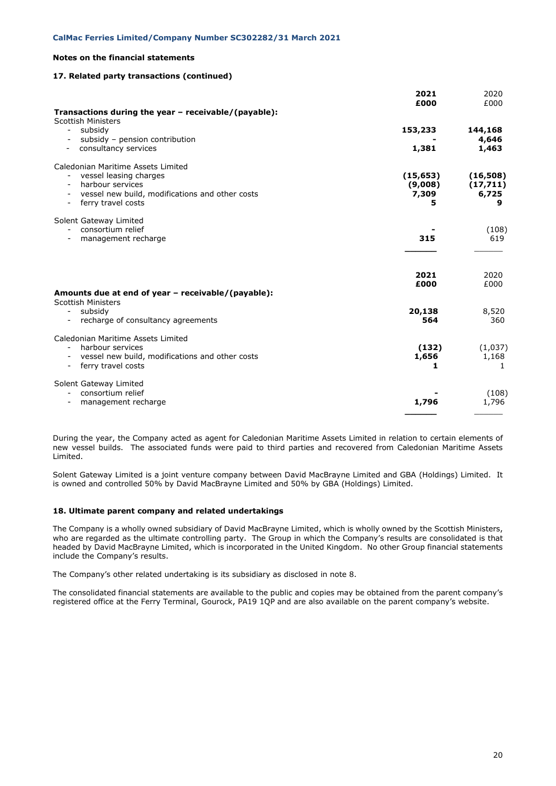# **17. Related party transactions (continued)**

|                                                                                    | 2021<br>£000   | 2020<br>£000     |
|------------------------------------------------------------------------------------|----------------|------------------|
| Transactions during the year - receivable/(payable):<br><b>Scottish Ministers</b>  |                |                  |
| subsidy                                                                            | 153,233        | 144,168          |
| subsidy - pension contribution<br>consultancy services<br>$\overline{\phantom{a}}$ | 1,381          | 4,646<br>1,463   |
|                                                                                    |                |                  |
| Caledonian Maritime Assets Limited<br>vessel leasing charges                       | (15, 653)      | (16,508)         |
| harbour services                                                                   | (9,008)        | (17, 711)        |
| vessel new build, modifications and other costs<br>ferry travel costs              | 7,309<br>5     | 6,725<br>9       |
| Solent Gateway Limited                                                             |                |                  |
| - consortium relief                                                                |                | (108)            |
| management recharge                                                                | 315            | 619              |
|                                                                                    | 2021           | 2020             |
|                                                                                    | £000           | £000             |
| Amounts due at end of year - receivable/(payable):<br><b>Scottish Ministers</b>    |                |                  |
| - subsidy                                                                          | 20,138         | 8,520            |
| recharge of consultancy agreements                                                 | 564            | 360              |
| Caledonian Maritime Assets Limited                                                 |                |                  |
| harbour services<br>vessel new build, modifications and other costs                | (132)<br>1,656 | (1,037)<br>1,168 |
| ferry travel costs                                                                 | 1              | 1                |
| Solent Gateway Limited                                                             |                |                  |
| consortium relief<br>management recharge                                           | 1,796          | (108)<br>1,796   |
|                                                                                    |                |                  |

During the year, the Company acted as agent for Caledonian Maritime Assets Limited in relation to certain elements of new vessel builds. The associated funds were paid to third parties and recovered from Caledonian Maritime Assets Limited.

Solent Gateway Limited is a joint venture company between David MacBrayne Limited and GBA (Holdings) Limited. It is owned and controlled 50% by David MacBrayne Limited and 50% by GBA (Holdings) Limited.

### **18. Ultimate parent company and related undertakings**

The Company is a wholly owned subsidiary of David MacBrayne Limited, which is wholly owned by the Scottish Ministers, who are regarded as the ultimate controlling party. The Group in which the Company's results are consolidated is that headed by David MacBrayne Limited, which is incorporated in the United Kingdom. No other Group financial statements include the Company's results.

The Company's other related undertaking is its subsidiary as disclosed in note 8.

The consolidated financial statements are available to the public and copies may be obtained from the parent company's registered office at the Ferry Terminal, Gourock, PA19 1QP and are also available on the parent company's website.